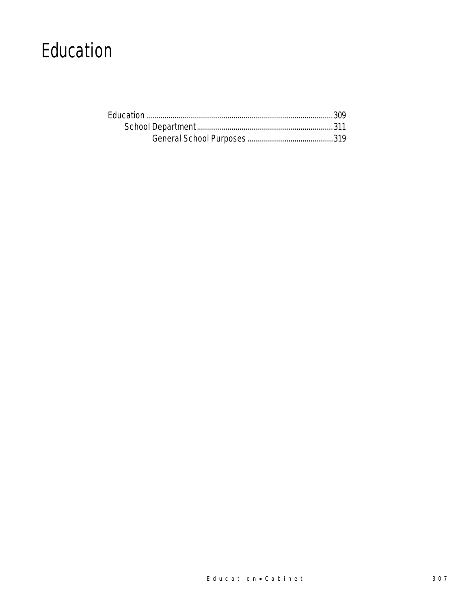# Education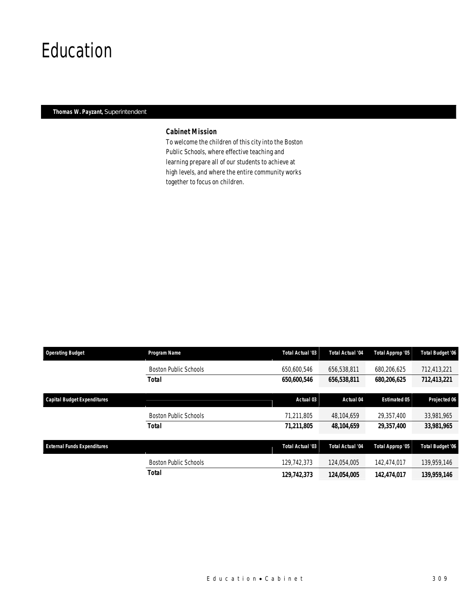## Education

### *Thomas W. Payzant, Superintendent*

### *Cabinet Mission*

To welcome the children of this city into the Boston Public Schools, where effective teaching and learning prepare all of our students to achieve at high levels, and where the entire community works together to focus on children.

| <b>Operating Budget</b>            | Program Name                 | Total Actual '03 | <b>Total Actual '04</b> | Total Approp '05    | <b>Total Budget '06</b> |
|------------------------------------|------------------------------|------------------|-------------------------|---------------------|-------------------------|
|                                    | <b>Boston Public Schools</b> | 650,600.546      | 656.538.811             | 680.206.625         | 712,413,221             |
|                                    | <b>Total</b>                 | 650,600,546      | 656,538,811             | 680,206,625         | 712,413,221             |
| <b>Capital Budget Expenditures</b> |                              | Actual 03        | Actual 04               | <b>Estimated 05</b> | Projected 06            |
|                                    | <b>Boston Public Schools</b> | 71,211,805       | 48,104,659              | 29,357,400          | 33,981,965              |
|                                    | <b>Total</b>                 | 71,211,805       | 48,104,659              | 29,357,400          | 33,981,965              |
| <b>External Funds Expenditures</b> |                              | Total Actual '03 | <b>Total Actual '04</b> | Total Approp '05    | <b>Total Budget '06</b> |
|                                    | <b>Boston Public Schools</b> | 129.742.373      | 124.054.005             | 142.474.017         | 139.959.146             |
|                                    | Total                        | 129,742,373      | 124,054,005             | 142,474,017         | 139,959,146             |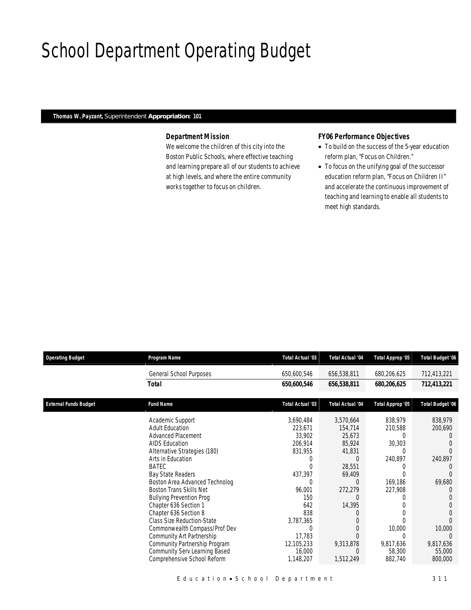# School Department Operating Budget

### *Thomas W. Payzant, Superintendent Appropriation: 101*

### *Department Mission*

We welcome the children of this city into the Boston Public Schools, where effective teaching and learning prepare all of our students to achieve at high levels, and where the entire community works together to focus on children.

### *FY06 Performance Objectives*

- To build on the success of the 5-year education reform plan, "Focus on Children."
- To focus on the unifying goal of the successor education reform plan, "Focus on Children II" and accelerate the continuous improvement of teaching and learning to enable all students to meet high standards.

| <b>Operating Budget</b>      | Program Name                                                                                         | <b>Total Actual '03</b>           | <b>Total Actual '04</b> | Total Approp '05               | <b>Total Budget '06</b>        |
|------------------------------|------------------------------------------------------------------------------------------------------|-----------------------------------|-------------------------|--------------------------------|--------------------------------|
|                              | General School Purposes                                                                              | 650,600,546                       | 656,538,811             | 680,206,625                    | 712,413,221                    |
|                              | Total                                                                                                | 650,600,546                       | 656,538,811             | 680,206,625                    | 712,413,221                    |
| <b>External Funds Budget</b> | <b>Fund Name</b>                                                                                     | Total Actual '03                  | <b>Total Actual '04</b> | Total Approp '05               | <b>Total Budget '06</b>        |
|                              | Academic Support                                                                                     | 3,690,484                         | 3,570,664               | 838,979                        | 838,979                        |
|                              | <b>Adult Education</b><br><b>Advanced Placement</b>                                                  | 223,671<br>33,902                 | 154,714<br>25,673       | 210,588<br>0                   | 200,690                        |
|                              | <b>AIDS Education</b>                                                                                | 206,914                           | 85,924                  | 30,303                         |                                |
|                              | Alternative Strategies (180)<br>Arts in Education                                                    | 831,955<br>0                      | 41,831                  | 0<br>240,897                   | 240,897                        |
|                              | <b>BATEC</b>                                                                                         | $\Omega$                          | 28,551                  | Ω<br>N                         |                                |
|                              | Bay State Readers<br>Boston Area Advanced Technolog                                                  | 437,397<br>$\Omega$               | 69,409                  | 169,186                        | 69,680                         |
|                              | <b>Boston Trans Skills Net</b>                                                                       | 96,001<br>150                     | 272,279                 | 227,908<br>Ω                   | $\left( \right)$               |
|                              | <b>Bullying Prevention Prog</b><br>Chapter 636 Section 1                                             | 642                               | 14,395                  | 0                              |                                |
|                              | Chapter 636 Section 8<br><b>Class Size Reduction-State</b>                                           | 838                               |                         | 0                              |                                |
|                              | Commonwealth Compass/Prof Dev                                                                        | 3,787,365<br>C                    |                         | 10,000                         | 10,000                         |
|                              | Community Art Partnership                                                                            | 17,783                            |                         | 0                              | $\left($                       |
|                              | Community Partnership Program<br><b>Community Serv Learning Based</b><br>Comprehensive School Reform | 12,105,233<br>16,000<br>1,148,207 | 9,313,878<br>1,512,249  | 9,817,636<br>58,300<br>882,740 | 9,817,636<br>55,000<br>800,000 |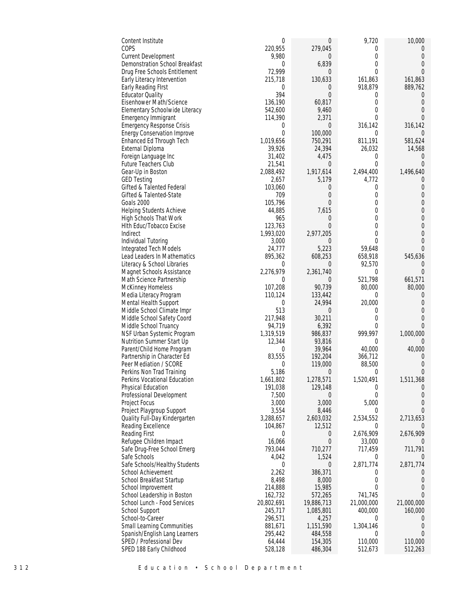| Content Institute                                               | $\mathbf 0$         | $\boldsymbol{0}$    | 9,720                      | 10,000                    |
|-----------------------------------------------------------------|---------------------|---------------------|----------------------------|---------------------------|
| COPS                                                            | 220,955             | 279,045             | $\Omega$                   | $\theta$                  |
| <b>Current Development</b>                                      | 9,980<br>$\theta$   | 0                   | $\Omega$<br>$\overline{0}$ | $\Omega$<br>$\Omega$      |
| Demonstration School Breakfast<br>Drug Free Schools Entitlement | 72,999              | 6,839<br>0          | $\Omega$                   | $\theta$                  |
| Early Literacy Intervention                                     | 215,718             | 130,633             | 161,863                    | 161,863                   |
| Early Reading First                                             | 0                   | 0                   | 918,879                    | 889,762                   |
| <b>Educator Quality</b>                                         | 394                 | $\overline{0}$      | 0                          | $\overline{0}$            |
| Eisenhower Math/Science                                         | 136,190             | 60,817              | $\Omega$                   | $\Omega$                  |
| Elementary Schoolwide Literacy                                  | 542,600             | 9,460               | $\Omega$                   | $\Omega$                  |
| <b>Emergency Immigrant</b>                                      | 114,390             | 2,371               | $\Omega$                   | $\Omega$                  |
| <b>Emergency Response Crisis</b>                                | $\overline{0}$      | 0                   | 316,142                    | 316,142                   |
| <b>Energy Conservation Improve</b>                              | $\mathbf{0}$        | 100,000             | $\mathbf 0$                | $\Omega$                  |
| Enhanced Ed Through Tech<br>External Diploma                    | 1,019,656<br>39,926 | 750,291<br>24,394   | 811,191<br>26,032          | 581,624<br>14,568         |
| Foreign Language Inc                                            | 31,402              | 4,475               | $\overline{0}$             | $\theta$                  |
| Future Teachers Club                                            | 21,541              | $\overline{0}$      | $\mathbf{0}$               | $\Omega$                  |
| Gear-Up in Boston                                               | 2,088,492           | 1,917,614           | 2,494,400                  | 1,496,640                 |
| <b>GED Testing</b>                                              | 2,657               | 5,179               | 4,772                      | $\left($                  |
| Gifted & Talented Federal                                       | 103,060             | 0                   | $\Omega$                   | $\theta$                  |
| Gifted & Talented-State                                         | 709                 | 0                   | $\Omega$                   | $\Omega$                  |
| Goals 2000                                                      | 105,796             | $\overline{0}$      | 0                          | $\Omega$                  |
| Helping Students Achieve                                        | 44,885              | 7,615               | $\overline{0}$<br>$\Omega$ | 0                         |
| High Schools That Work                                          | 965<br>123,763      | 0<br>$\overline{0}$ | $\Omega$                   | $\Omega$<br>$\Omega$      |
| Hith Educ/Tobacco Excise<br>Indirect                            | 1,993,020           | 2,977,205           | 0                          | $\theta$                  |
| Individual Tutoring                                             | 3,000               | 0                   | $\Omega$                   | $\Omega$                  |
| Integrated Tech Models                                          | 24,777              | 5,223               | 59,648                     | $\Omega$                  |
| Lead Leaders In Mathematics                                     | 895,362             | 608,253             | 658,918                    | 545,636                   |
| Literacy & School Libraries                                     | $\overline{0}$      | 0                   | 92,570                     | $\left($                  |
| Magnet Schools Assistance                                       | 2,276,979           | 2,361,740           | $\overline{0}$             | $\Omega$                  |
| Math Science Partnership                                        | $\theta$            | 0                   | 521,798                    | 661,571                   |
| McKinney Homeless                                               | 107,208             | 90,739              | 80,000                     | 80,000                    |
| Media Literacy Program                                          | 110,124<br>$\theta$ | 133,442<br>24,994   | $\overline{0}$<br>20,000   | $\Omega$<br>0             |
| Mental Health Support<br>Middle School Climate Impr             | 513                 | 0                   | $\overline{0}$             |                           |
| Middle School Safety Coord                                      | 217,948             | 30,211              | 0                          | $\cup$                    |
| Middle School Truancy                                           | 94,719              | 6,392               | $\overline{0}$             | $\Omega$                  |
| NSF Urban Systemic Program                                      | 1,319,519           | 986,837             | 999,997                    | 1,000,000                 |
| Nutrition Summer Start Up                                       | 12,344              | 93,816              | $\overline{0}$             | $\Omega$                  |
| Parent/Child Home Program                                       | 0                   | 39,964              | 40,000                     | 40,000                    |
| Partnership in Character Ed                                     | 83,555              | 192,204             | 366,712                    |                           |
| Peer Mediation / SCORE                                          | 0                   | 119,000             | 88,500                     | $\Omega$                  |
| Perkins Non Trad Training<br>Perkins Vocational Education       | 5,186<br>1,661,802  | 0<br>1,278,571      | 0<br>1,520,491             | 0<br>1,511,368            |
| Physical Education                                              | 191,038             | 129,148             | $\boldsymbol{0}$           | 0                         |
| Professional Development                                        | 7,500               | $\overline{0}$      | $\Omega$                   | $\theta$                  |
| Project Focus                                                   | 3,000               | 3,000               | 5,000                      | $\theta$                  |
| Project Playgroup Support                                       | 3,554               | 8,446               | $\overline{0}$             | $\Omega$                  |
| Quality Full-Day Kindergarten                                   | 3,288,657           | 2,603,032           | 2,534,552                  | 2,713,653                 |
| Reading Excellence                                              | 104,867             | 12,512              | $\Omega$                   |                           |
| Reading First                                                   | $\theta$            | 0                   | 2,676,909                  | 2,676,909                 |
| Refugee Children Impact                                         | 16,066<br>793,044   | $\overline{0}$      | 33,000                     |                           |
| Safe Drug-Free School Emerg<br>Safe Schools                     | 4,042               | 710,277<br>1,524    | 717,459<br>$\mathbf{0}$    | 711,791<br>$\overline{0}$ |
| Safe Schools/Healthy Students                                   | $\overline{0}$      | $\overline{0}$      | 2,871,774                  | 2,871,774                 |
| School Achievement                                              | 2,262               | 386,371             | $\Omega$                   |                           |
| School Breakfast Startup                                        | 8,498               | 8,000               | 0                          | $\theta$                  |
| School Improvement                                              | 214,888             | 15,985              | $\Omega$                   | 0                         |
| School Leadership in Boston                                     | 162,732             | 572,265             | 741,745                    | $\Omega$                  |
| School Lunch - Food Services                                    | 20,802,691          | 19,886,713          | 21,000,000                 | 21,000,000                |
| School Support                                                  | 245,717             | 1,085,801           | 400,000                    | 160,000                   |
| School-to-Career<br><b>Small Learning Communities</b>           | 296,571<br>881,671  | 4,257<br>1,151,590  | $\Omega$<br>1,304,146      | $\theta$                  |
| Spanish/English Lang Learners                                   | 295,442             | 484,558             | $\Omega$                   | $\Omega$                  |
| SPED / Professional Dev                                         | 64,444              | 154,305             | 110,000                    | 110,000                   |
| SPED 188 Early Childhood                                        | 528,128             | 486,304             | 512,673                    | 512,263                   |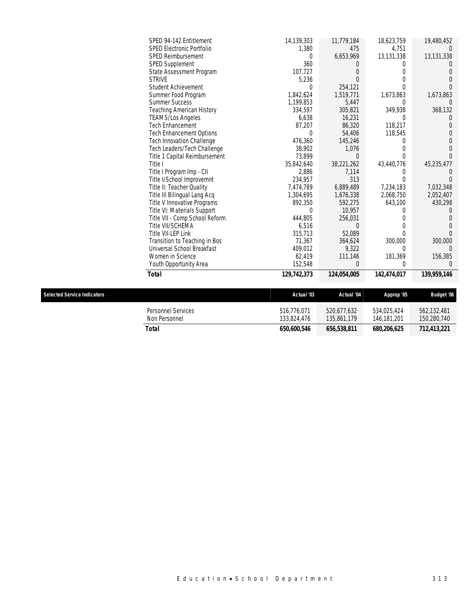| SPED 94-142 Entitlement          | 14,139,303  | 11,779,184  | 18,623,759  | 19,480,452  |
|----------------------------------|-------------|-------------|-------------|-------------|
| <b>SPED Electronic Portfolio</b> | 1,380       | 475         | 4,751       |             |
| SPED Reimbursement               | 0           | 6,653,969   | 13,131,338  | 13,131,338  |
| SPED Supplement                  | 360         | $\theta$    |             |             |
| State Assessment Program         | 107,727     | 0           |             |             |
| <b>STRIVE</b>                    | 5,236       | $\Omega$    |             |             |
| <b>Student Achievement</b>       | 0           | 254,121     |             |             |
| Summer Food Program              | 1,842,624   | 1,519,771   | 1,673,863   | 1,673,863   |
| <b>Summer Success</b>            | 1,199,853   | 5,447       | 0           |             |
| Teaching American History        | 334,597     | 305,821     | 349,938     | 368,132     |
| <b>TEAMS/Los Angeles</b>         | 6,638       | 16,231      | 0           |             |
| <b>Tech Enhancement</b>          | 87,207      | 86,320      | 118,217     |             |
| Tech Enhancement Options         |             | 54,406      | 118,545     |             |
| Tech Innovation Challenge        | 476,360     | 145,246     |             |             |
| Tech Leaders/Tech Challenge      | 38,902      | 1,076       |             |             |
| Title 1 Capital Reimbursement    | 73,899      | $\Omega$    |             |             |
| Title I                          | 35,842,640  | 38,221,262  | 43,440,776  | 45,235,477  |
| Title I Program Imp - CII        | 2,886       | 7,114       |             |             |
| Title I/School Improvemnt        | 234,957     | 313         |             |             |
| Title II: Teacher Quality        | 7,474,789   | 6,889,489   | 7,234,183   | 7,032,348   |
| Title III Bilingual Lang Acq     | 1,304,695   | 1,676,338   | 2,068,750   | 2,052,407   |
| Title V Innovative Programs      | 892,350     | 592,275     | 643,100     | 430,298     |
| Title VI: Materials Support      | 0           | 10,957      |             |             |
| Title VII - Comp School Reform   | 444,805     | 256,031     |             |             |
| Title VII/SCHEMA                 | 6,516       | 0           |             |             |
| Title VII-LEP Link               | 315,713     | 52,089      |             |             |
| Transition to Teaching in Bos    | 71,367      | 364,624     | 300,000     | 300,000     |
| Universal School Breakfast       | 409,012     | 9,322       | 0           |             |
| Women in Science                 | 62,419      | 111,146     | 181,369     | 156,385     |
| Youth Opportunity Area           | 152,548     | 0           | 0           | $\Omega$    |
| <b>Total</b>                     | 129,742,373 | 124,054,005 | 142,474,017 | 139,959,146 |

| <b>Selected Service Indicators</b> |                                            | Actual '03                 | Actual '04                 | Approp '05                 | <b>Budget '06</b>          |
|------------------------------------|--------------------------------------------|----------------------------|----------------------------|----------------------------|----------------------------|
|                                    | <b>Personnel Services</b><br>Non Personnel | 516.776.071<br>133,824,476 | 520.677.632<br>135,861,179 | 534.025.424<br>146,181,201 | 562.132.481<br>150,280,740 |
|                                    | Total                                      | 650,600,546                | 656,538,811                | 680,206,625                | 712.413.221                |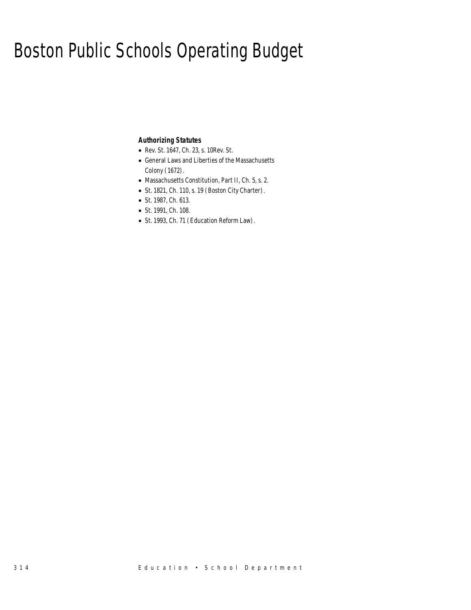# Boston Public Schools Operating Budget

### *Authorizing Statutes*

- Rev. St. 1647, Ch. 23, s. 10Rev. St.
- General Laws and Liberties of the Massachusetts Colony (1672).
- Massachusetts Constitution, Part II, Ch. 5, s. 2.
- St. 1821, Ch. 110, s. 19 (Boston City Charter).
- St. 1987, Ch. 613.
- St. 1991, Ch. 108.
- St. 1993, Ch. 71 (Education Reform Law).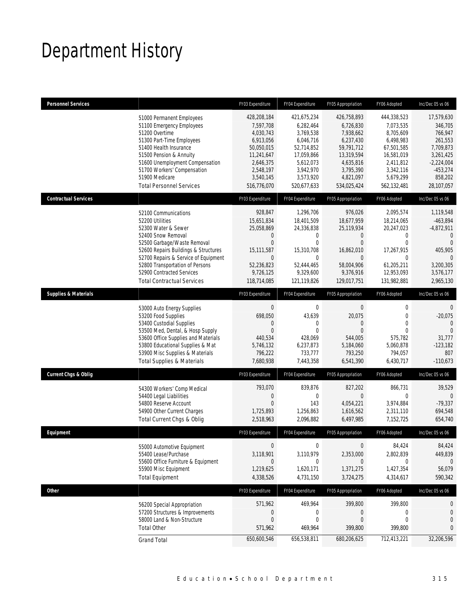# Department History

| <b>Personnel Services</b>       |                                                                                                                                                                                                                                                                                                          | FY03 Expenditure                                                                                                                       | FY04 Expenditure                                                                                                                      | FY05 Appropriation                                                                                                                    | FY06 Adopted                                                                                                                             | Inc/Dec 05 vs 06                                                                                                                  |
|---------------------------------|----------------------------------------------------------------------------------------------------------------------------------------------------------------------------------------------------------------------------------------------------------------------------------------------------------|----------------------------------------------------------------------------------------------------------------------------------------|---------------------------------------------------------------------------------------------------------------------------------------|---------------------------------------------------------------------------------------------------------------------------------------|------------------------------------------------------------------------------------------------------------------------------------------|-----------------------------------------------------------------------------------------------------------------------------------|
|                                 | 51000 Permanent Employees<br>51100 Emergency Employees<br>51200 Overtime<br>51300 Part-Time Employees<br>51400 Health Insurance<br>51500 Pension & Annuity<br>51600 Unemployment Compensation<br>51700 Workers' Compensation<br>51900 Medicare<br><b>Total Personnel Services</b>                        | 428,208,184<br>7,597,708<br>4,030,743<br>6,913,056<br>50,050,015<br>11,241,647<br>2,646,375<br>2,548,197<br>3,540,145<br>516,776,070   | 421,675,234<br>6,282,464<br>3,769,538<br>6,046,716<br>52,714,852<br>17,059,866<br>5,612,073<br>3,942,970<br>3,573,920<br>520,677,633  | 426,758,893<br>6,726,830<br>7,938,662<br>6,237,430<br>59,791,712<br>13,319,594<br>4,635,816<br>3,795,390<br>4,821,097<br>534,025,424  | 444,338,523<br>7,073,535<br>8,705,609<br>6.498.983<br>67.501.585<br>16,581,019<br>2,411,812<br>3,342,116<br>5,679,299<br>562,132,481     | 17,579,630<br>346,705<br>766,947<br>261,553<br>7,709,873<br>3,261,425<br>$-2,224,004$<br>$-453,274$<br>858,202<br>28,107,057      |
| <b>Contractual Services</b>     |                                                                                                                                                                                                                                                                                                          | FY03 Expenditure                                                                                                                       | FY04 Expenditure                                                                                                                      | FY05 Appropriation                                                                                                                    | FY06 Adopted                                                                                                                             | Inc/Dec 05 vs 06                                                                                                                  |
|                                 | 52100 Communications<br>52200 Utilities<br>52300 Water & Sewer<br>52400 Snow Removal<br>52500 Garbage/Waste Removal<br>52600 Repairs Buildings & Structures<br>52700 Repairs & Service of Equipment<br>52800 Transportation of Persons<br>52900 Contracted Services<br><b>Total Contractual Services</b> | 928,847<br>15,651,834<br>25,058,869<br>$\mathbf 0$<br>$\Omega$<br>15,111,587<br>$\mathbf{0}$<br>52,236,823<br>9,726,125<br>118,714,085 | 1,296,706<br>18,401,509<br>24,336,838<br>$\mathbf{0}$<br>$\theta$<br>15.310.708<br>$\theta$<br>52,444,465<br>9,329,600<br>121,119,826 | 976,026<br>18,677,959<br>25,119,934<br>$\overline{0}$<br>$\Omega$<br>16,862,010<br>$\Omega$<br>58,004,906<br>9,376,916<br>129,017,751 | 2,095,574<br>18,214,065<br>20,247,023<br>$\mathbf 0$<br>$\mathbf 0$<br>17,267,915<br>$\Omega$<br>61,205,211<br>12,953,093<br>131,982,881 | 1,119,548<br>$-463,894$<br>$-4,872,911$<br>$\mathbf{0}$<br>$\Omega$<br>405,905<br>$\Omega$<br>3.200.305<br>3,576,177<br>2,965,130 |
| <b>Supplies &amp; Materials</b> |                                                                                                                                                                                                                                                                                                          | FY03 Expenditure                                                                                                                       | FY04 Expenditure                                                                                                                      | FY05 Appropriation                                                                                                                    | FY06 Adopted                                                                                                                             | Inc/Dec 05 vs 06                                                                                                                  |
|                                 | 53000 Auto Energy Supplies<br>53200 Food Supplies<br>53400 Custodial Supplies<br>53500 Med, Dental, & Hosp Supply<br>53600 Office Supplies and Materials<br>53800 Educational Supplies & Mat<br>53900 Misc Supplies & Materials<br><b>Total Supplies &amp; Materials</b>                                 | $\boldsymbol{0}$<br>698,050<br>0<br>$\overline{0}$<br>440,534<br>5,746,132<br>796,222<br>7,680,938                                     | 0<br>43,639<br>$\mathbf{0}$<br>$\Omega$<br>428,069<br>6,237,873<br>733,777<br>7,443,358                                               | $\mathbf 0$<br>20,075<br>$\mathbf{0}$<br>$\overline{0}$<br>544,005<br>5,184,060<br>793,250<br>6,541,390                               | 0<br>$\boldsymbol{0}$<br>$\mathbf 0$<br>$\theta$<br>575,782<br>5,060,878<br>794,057<br>6,430,717                                         | $\mathbf 0$<br>$-20,075$<br>$\mathbf{0}$<br>$\overline{0}$<br>31,777<br>$-123,182$<br>807<br>$-110,673$                           |
| <b>Current Chgs &amp; Oblig</b> |                                                                                                                                                                                                                                                                                                          | FY03 Expenditure                                                                                                                       | FY04 Expenditure                                                                                                                      | FY05 Appropriation                                                                                                                    | FY06 Adopted                                                                                                                             | Inc/Dec 05 vs 06                                                                                                                  |
|                                 | 54300 Workers' Comp Medical<br>54400 Legal Liabilities<br>54800 Reserve Account<br>54900 Other Current Charges<br>Total Current Chgs & Oblig                                                                                                                                                             | 793,070<br>$\mathbf 0$<br>$\overline{0}$<br>1,725,893<br>2,518,963                                                                     | 839,876<br>$\mathbf 0$<br>143<br>1,256,863<br>2,096,882                                                                               | 827,202<br>$\overline{0}$<br>4,054,221<br>1,616,562<br>6,497,985                                                                      | 866,731<br>$\mathbf 0$<br>3,974,884<br>2.311.110<br>7,152,725                                                                            | 39,529<br>$\mathbf{0}$<br>$-79,337$<br>694,548<br>654,740                                                                         |
| Equipment                       |                                                                                                                                                                                                                                                                                                          | FY03 Expenditure                                                                                                                       | FY04 Expenditure                                                                                                                      | FY05 Appropriation                                                                                                                    | FY06 Adopted                                                                                                                             | Inc/Dec 05 vs 06                                                                                                                  |
|                                 | 55000 Automotive Equipment<br>55400 Lease/Purchase<br>55600 Office Furniture & Equipment<br>55900 Misc Equipment<br><b>Total Equipment</b>                                                                                                                                                               | $\boldsymbol{0}$<br>3,118,901<br>$\mathbf 0$<br>1,219,625<br>4,338,526                                                                 | 0<br>3,110,979<br>0<br>1,620,171<br>4,731,150                                                                                         | $\mathbf 0$<br>2,353,000<br>$\mathbf{0}$<br>1,371,275<br>3,724,275                                                                    | 84,424<br>2,802,839<br>0<br>1,427,354<br>4,314,617                                                                                       | 84,424<br>449,839<br>$\theta$<br>56,079<br>590,342                                                                                |
| Other                           |                                                                                                                                                                                                                                                                                                          | FY03 Expenditure                                                                                                                       | FY04 Expenditure                                                                                                                      | FY05 Appropriation                                                                                                                    | FY06 Adopted                                                                                                                             | Inc/Dec 05 vs 06                                                                                                                  |
|                                 | 56200 Special Appropriation<br>57200 Structures & Improvements<br>58000 Land & Non-Structure<br><b>Total Other</b>                                                                                                                                                                                       | 571,962<br>0<br>$\boldsymbol{0}$<br>571,962                                                                                            | 469,964<br>$\mathbf{0}$<br>0<br>469,964                                                                                               | 399,800<br>$\overline{0}$<br>$\boldsymbol{0}$<br>399,800                                                                              | 399,800<br>0<br>$\boldsymbol{0}$<br>399,800                                                                                              | 0<br>0<br>$\overline{0}$<br>0                                                                                                     |
|                                 | <b>Grand Total</b>                                                                                                                                                                                                                                                                                       | 650,600,546                                                                                                                            | 656,538,811                                                                                                                           | 680,206,625                                                                                                                           | 712,413,221                                                                                                                              | 32,206,596                                                                                                                        |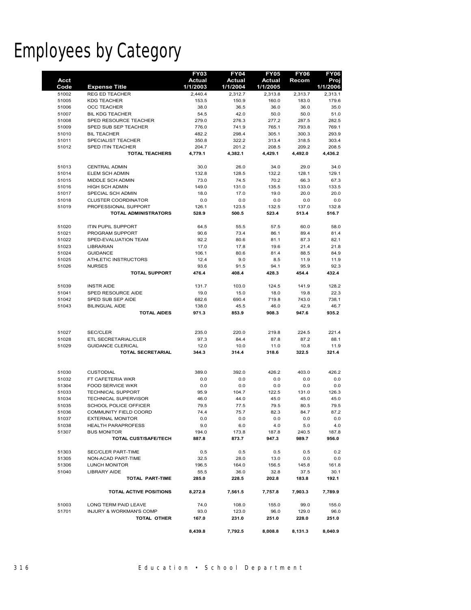# Employees by Category

|                |                                                   | <b>FY03</b>         | <b>FY04</b>      | <b>FY05</b>         | <b>FY06</b>      | <b>FY06</b>      |
|----------------|---------------------------------------------------|---------------------|------------------|---------------------|------------------|------------------|
| <b>Acct</b>    |                                                   | <b>Actual</b>       | Actual           | Actual              | Recom            | Proj             |
| Code           | <b>Expense Title</b><br><b>REG ED TEACHER</b>     | 1/1/2003<br>2,440.4 | 1/1/2004         | 1/1/2005<br>2,313.8 |                  | 1/1/2006         |
| 51002<br>51005 | <b>KDG TEACHER</b>                                | 153.5               | 2,312.7<br>150.9 | 160.0               | 2,313.7<br>183.0 | 2,313.1<br>179.6 |
| 51006          | <b>OCC TEACHER</b>                                | 38.0                | 36.5             | 36.0                | 36.0             | 35.0             |
| 51007          | <b>BIL KDG TEACHER</b>                            | 54.5                | 42.0             | 50.0                | 50.0             | 51.0             |
| 51008          | SPED RESOURCE TEACHER                             | 279.0               | 276.3            | 277.2               | 287.5            | 282.5            |
| 51009          | SPED SUB SEP TEACHER                              | 776.0               | 741.9            | 765.1               | 793.8            | 769.1            |
| 51010          | <b>BIL TEACHER</b>                                | 482.2               | 298.4            | 305.1               | 300.3            | 293.9            |
| 51011          | SPECIALIST TEACHER                                | 350.8               | 322.2            | 313.4               | 318.5            | 303.4            |
| 51012          | SPED ITIN TEACHER                                 | 204.7               | 201.2            | 208.5               | 209.2            | 208.5            |
|                | <b>TOTAL TEACHERS</b>                             | 4,779.1             | 4,382.1          | 4,429.1             | 4,492.0          | 4,436.2          |
| 51013          | <b>CENTRAL ADMIN</b>                              | 30.0                | 26.0             | 34.0                | 29.0             | 34.0             |
| 51014          | ELEM SCH ADMIN                                    | 132.8               | 128.5            | 132.2               | 128.1            | 129.1            |
| 51015          | MIDDLE SCH ADMIN                                  | 73.0                | 74.5             | 70.2                | 66.3             | 67.3             |
| 51016          | <b>HIGH SCH ADMIN</b>                             | 149.0               | 131.0            | 135.5               | 133.0            | 133.5            |
| 51017          | SPECIAL SCH ADMIN                                 | 18.0                | 17.0             | 19.0                | 20.0             | 20.0             |
| 51018          | <b>CLUSTER COORDINATOR</b>                        | 0.0                 | 0.0              | 0.0                 | 0.0              | 0.0              |
| 51019          | PROFESSIONAL SUPPORT                              | 126.1               | 123.5            | 132.5               | 137.0            | 132.8            |
|                | <b>TOTAL ADMINISTRATORS</b>                       | 528.9               | 500.5            | 523.4               | 513.4            | 516.7            |
| 51020          | <b>ITIN PUPIL SUPPORT</b>                         | 64.5                | 55.5             | 57.5                | 60.0             | 58.0             |
| 51021          | PROGRAM SUPPORT                                   | 90.6                | 73.4             | 86.1                | 89.4             | 81.4             |
| 51022          | SPED-EVALUATION TEAM                              | 92.2                | 80.6             | 81.1                | 87.3             | 82.1             |
| 51023          | <b>LIBRARIAN</b>                                  | 17.0                | 17.8             | 19.6                | 21.4             | 21.8             |
| 51024          | <b>GUIDANCE</b>                                   | 106.1               | 80.6             | 81.4                | 88.5             | 84.9             |
| 51025          | ATHLETIC INSTRUCTORS                              | 12.4                | 9.0              | 8.5                 | 11.9             | 11.9             |
| 51026          | <b>NURSES</b>                                     | 93.6                | 91.5             | 94.1                | 95.9             | 92.3             |
|                | <b>TOTAL SUPPORT</b>                              | 476.4               | 408.4            | 428.3               | 454.4            | 432.4            |
| 51039          | <b>INSTR AIDE</b>                                 | 131.7               | 103.0            | 124.5               | 141.9            | 128.2            |
| 51041          | SPED RESOURCE AIDE                                | 19.0                | 15.0             | 18.0                | 19.8             | 22.3             |
| 51042          | SPED SUB SEP AIDE                                 | 682.6               | 690.4            | 719.8               | 743.0            | 738.1            |
| 51043          | <b>BILINGUAL AIDE</b>                             | 138.0               | 45.5             | 46.0                | 42.9             | 46.7             |
|                | <b>TOTAL AIDES</b>                                | 971.3               | 853.9            | 908.3               | 947.6            | 935.2            |
|                |                                                   |                     |                  |                     |                  |                  |
| 51027          | <b>SEC/CLER</b>                                   | 235.0               | 220.0            | 219.8               | 224.5            | 221.4            |
| 51028          | ETL SECRETARIAL/CLER                              | 97.3                | 84.4             | 87.8                | 87.2             | 88.1             |
| 51029          | <b>GUIDANCE CLERICAL</b>                          | 12.0                | 10.0             | 11.0                | 10.8             | 11.9             |
|                | <b>TOTAL SECRETARIAL</b>                          | 344.3               | 314.4            | 318.6               | 322.5            | 321.4            |
|                |                                                   |                     |                  |                     |                  |                  |
| 51030          | <b>CUSTODIAL</b>                                  | 389.0               | 392.0            | 426.2               | 403.0            | 426.2            |
| 51032          | FT CAFETERIA WKR                                  | 0.0                 | 0.0              | 0.0                 | 0.0              | 0.0              |
| 51304          | <b>FOOD SERVICE WKR</b>                           | 0.0                 | 0.0              | 0.0                 | 0.0              | 0.0              |
| 51033          | <b>TECHNICAL SUPPORT</b>                          | 95.9                | 104.7            | 122.5               | 131.0            | 126.3            |
| 51034          | TECHNICAL SUPERVISOR                              | 46.0                | 44.0             | 45.0                | 45.0             | 45.0             |
| 51035          | SCHOOL POLICE OFFICER                             | 79.5                | 77.5             | 79.5                | 80.5             | 79.5             |
| 51036          | <b>COMMUNITY FIELD COORD</b>                      | 74.4                | 75.7             | 82.3                | 84.7             | 87.2             |
| 51037          | <b>EXTERNAL MONITOR</b>                           | 0.0                 | 0.0              | 0.0                 | 0.0              | 0.0              |
| 51038          | <b>HEALTH PARAPROFESS</b>                         | 9.0                 | 6.0              | 4.0                 | 5.0              | 4.0              |
| 51307          | <b>BUS MONITOR</b><br><b>TOTAL CUST/SAFE/TECH</b> | 194.0<br>887.8      | 173.8<br>873.7   | 187.8<br>947.3      | 240.5<br>989.7   | 187.8<br>956.0   |
|                |                                                   |                     |                  |                     |                  |                  |
| 51303          | SEC/CLER PART-TIME                                | 0.5                 | 0.5              | 0.5                 | 0.5              | 0.2              |
| 51305          | NON-ACAD PART-TIME                                | 32.5                | 28.0             | 13.0                | 0.0              | 0.0              |
| 51306          | <b>LUNCH MONITOR</b>                              | 196.5               | 164.0            | 156.5               | 145.8            | 161.8            |
| 51040          | <b>LIBRARY AIDE</b><br><b>TOTAL PART-TIME</b>     | 55.5<br>285.0       | 36.0<br>228.5    | 32.8<br>202.8       | 37.5<br>183.8    | 30.1<br>192.1    |
|                |                                                   |                     |                  |                     |                  |                  |
|                | <b>TOTAL ACTIVE POSITIONS</b>                     | 8,272.8             | 7,561.5          | 7,757.8             | 7,903.3          | 7,789.9          |
| 51003          | LONG TERM PAID LEAVE                              | 74.0                | 108.0            | 155.0               | 99.0             | 155.0            |
| 51701          | <b>INJURY &amp; WORKMAN'S COMP</b>                | 93.0                | 123.0            | 96.0                | 129.0            | 96.0             |
|                | <b>TOTAL OTHER</b>                                | 167.0               | 231.0            | 251.0               | 228.0            | 251.0            |
|                |                                                   | 8,439.8             | 7,792.5          | 8,008.8             | 8,131.3          | 8,040.9          |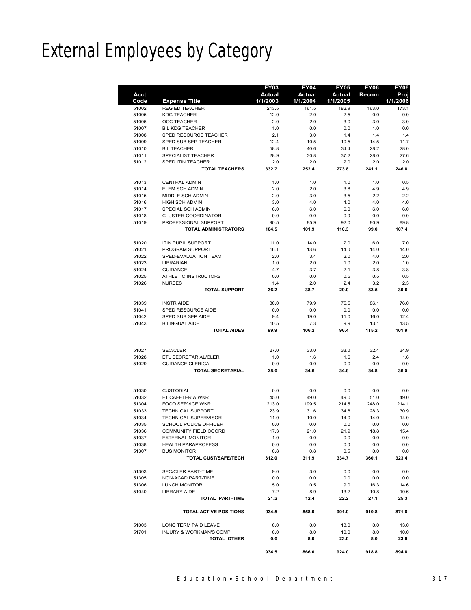# External Employees by Category

|       |                             | <b>FY03</b>   | <b>FY04</b> | <b>FY05</b>   | <b>FY06</b> | <b>FY06</b> |
|-------|-----------------------------|---------------|-------------|---------------|-------------|-------------|
| Acct  |                             | <b>Actual</b> | Actual      | <b>Actual</b> | Recom       | Proj        |
| Code  | <b>Expense Title</b>        | 1/1/2003      | 1/1/2004    | 1/1/2005      |             | 1/1/2006    |
| 51002 | <b>REG ED TEACHER</b>       | 213.5         | 161.5       | 182.9         | 163.0       | 173.1       |
| 51005 | <b>KDG TEACHER</b>          | 12.0          | 2.0         | 2.5           | 0.0         | 0.0         |
| 51006 | <b>OCC TEACHER</b>          | 2.0           | 2.0         | 3.0           | 3.0         | 3.0         |
| 51007 | <b>BIL KDG TEACHER</b>      | 1.0           | 0.0         | 0.0           | 1.0         | 0.0         |
| 51008 | SPED RESOURCE TEACHER       | 2.1           | 3.0         | 1.4           | 1.4         | 1.4         |
| 51009 | SPED SUB SEP TEACHER        | 12.4          | 10.5        | 10.5          | 14.5        | 11.7        |
| 51010 | <b>BIL TEACHER</b>          | 58.8          | 40.6        | 34.4          | 28.2        | 28.0        |
| 51011 | SPECIALIST TEACHER          | 28.9          | 30.8        | 37.2          | 28.0        | 27.6        |
| 51012 | <b>SPED ITIN TEACHER</b>    | 2.0           | 2.0         | 2.0           | 2.0         | 2.0         |
|       | <b>TOTAL TEACHERS</b>       | 332.7         | 252.4       | 273.8         | 241.1       | 246.8       |
|       |                             |               |             |               |             |             |
| 51013 | <b>CENTRAL ADMIN</b>        | 1.0           | 1.0         | 1.0           | 1.0         | 0.5         |
| 51014 | ELEM SCH ADMIN              | 2.0           | 2.0         | 3.8           | 4.9         | 4.9         |
| 51015 | MIDDLE SCH ADMIN            | 2.0           | 3.0         | 3.5           | 2.2         | 2.2         |
| 51016 | <b>HIGH SCH ADMIN</b>       | 3.0           | 4.0         | 4.0           | 4.0         | 4.0         |
| 51017 | SPECIAL SCH ADMIN           | 6.0           | 6.0         | 6.0           | 6.0         | 6.0         |
|       |                             |               |             |               |             |             |
| 51018 | <b>CLUSTER COORDINATOR</b>  | 0.0           | 0.0         | 0.0           | 0.0         | 0.0         |
| 51019 | PROFESSIONAL SUPPORT        | 90.5          | 85.9        | 92.0          | 80.9        | 89.8        |
|       | <b>TOTAL ADMINISTRATORS</b> | 104.5         | 101.9       | 110.3         | 99.0        | 107.4       |
|       |                             |               |             |               |             |             |
| 51020 | <b>ITIN PUPIL SUPPORT</b>   | 11.0          | 14.0        | 7.0           | 6.0         | 7.0         |
| 51021 | PROGRAM SUPPORT             | 16.1          | 13.6        | 14.0          | 14.0        | 14.0        |
| 51022 | SPED-EVALUATION TEAM        | 2.0           | 3.4         | 2.0           | 4.0         | 2.0         |
| 51023 | <b>LIBRARIAN</b>            | 1.0           | 2.0         | 1.0           | 2.0         | 1.0         |
| 51024 | <b>GUIDANCE</b>             | 4.7           | 3.7         | 2.1           | 3.8         | 3.8         |
| 51025 | ATHLETIC INSTRUCTORS        | 0.0           | 0.0         | 0.5           | 0.5         | 0.5         |
| 51026 | <b>NURSES</b>               | 1.4           | 2.0         | 2.4           | 3.2         | 2.3         |
|       | <b>TOTAL SUPPORT</b>        | 36.2          | 38.7        | 29.0          | 33.5        | 30.6        |
|       |                             |               |             |               |             |             |
| 51039 | <b>INSTRAIDE</b>            | 80.0          | 79.9        | 75.5          | 86.1        | 76.0        |
| 51041 | SPED RESOURCE AIDE          | 0.0           | 0.0         | 0.0           | 0.0         | 0.0         |
| 51042 | SPED SUB SEP AIDE           | 9.4           | 19.0        | 11.0          | 16.0        | 12.4        |
| 51043 | <b>BILINGUAL AIDE</b>       | 10.5          | 7.3         | 9.9           | 13.1        | 13.5        |
|       | <b>TOTAL AIDES</b>          | 99.9          | 106.2       | 96.4          | 115.2       | 101.9       |
|       |                             |               |             |               |             |             |
|       |                             |               |             |               |             |             |
| 51027 | <b>SEC/CLER</b>             | 27.0          | 33.0        | 33.0          | 32.4        | 34.9        |
| 51028 | ETL SECRETARIAL/CLER        | 1.0           | 1.6         | 1.6           | 2.4         | 1.6         |
| 51029 | <b>GUIDANCE CLERICAL</b>    | 0.0           | 0.0         | 0.0           | 0.0         | 0.0         |
|       | <b>TOTAL SECRETARIAL</b>    | 28.0          | 34.6        | 34.6          | 34.8        | 36.5        |
|       |                             |               |             |               |             |             |
| 51030 | <b>CUSTODIAL</b>            | 0.0           | 0.0         | 0.0           | 0.0         | 0.0         |
| 51032 | FT CAFETERIA WKR            | 45.0          | 49.0        | 49.0          | 51.0        | 49.0        |
| 51304 | <b>FOOD SERVICE WKR</b>     | 213.0         | 199.5       | 214.5         | 248.0       | 214.1       |
| 51033 | <b>TECHNICAL SUPPORT</b>    | 23.9          | 31.6        | 34.8          | 28.3        | 30.9        |
| 51034 | <b>TECHNICAL SUPERVISOR</b> | 11.0          | 10.0        | 14.0          | 14.0        | 14.0        |
| 51035 | SCHOOL POLICE OFFICER       | 0.0           | 0.0         | 0.0           | 0.0         | 0.0         |
| 51036 | COMMUNITY FIELD COORD       | 17.3          | 21.0        | 21.9          | 18.8        | 15.4        |
| 51037 | <b>EXTERNAL MONITOR</b>     | 1.0           | 0.0         | 0.0           | 0.0         | 0.0         |
| 51038 | HEALTH PARAPROFESS          | 0.0           | 0.0         | 0.0           | 0.0         | 0.0         |
| 51307 | <b>BUS MONITOR</b>          | 0.8           | 0.8         | 0.5           | 0.0         | 0.0         |
|       | TOTAL CUST/SAFE/TECH        | 312.0         | 311.9       | 334.7         | 360.1       | 323.4       |
|       |                             |               |             |               |             |             |
| 51303 | SEC/CLER PART-TIME          | 9.0           | 3.0         | 0.0           | 0.0         | 0.0         |
| 51305 | NON-ACAD PART-TIME          | 0.0           | 0.0         | 0.0           | 0.0         | 0.0         |
| 51306 | <b>LUNCH MONITOR</b>        | 5.0           | 0.5         | 9.0           | 16.3        | 14.6        |
| 51040 | <b>LIBRARY AIDE</b>         | 7.2           | 8.9         | 13.2          | 10.8        | 10.6        |
|       | <b>TOTAL PART-TIME</b>      | 21.2          | 12.4        | 22.2          | 27.1        | 25.3        |
|       | TOTAL ACTIVE POSITIONS      | 934.5         | 858.0       | 901.0         | 910.8       | 871.8       |
| 51003 | LONG TERM PAID LEAVE        | 0.0           | 0.0         | 13.0          | 0.0         | 13.0        |
| 51701 | INJURY & WORKMAN'S COMP     | 0.0           | 8.0         | 10.0          | 8.0         | 10.0        |
|       | TOTAL OTHER                 | 0.0           | 8.0         | 23.0          | 8.0         | 23.0        |
|       |                             |               |             |               |             |             |
|       |                             | 934.5         | 866.0       | 924.0         | 918.8       | 894.8       |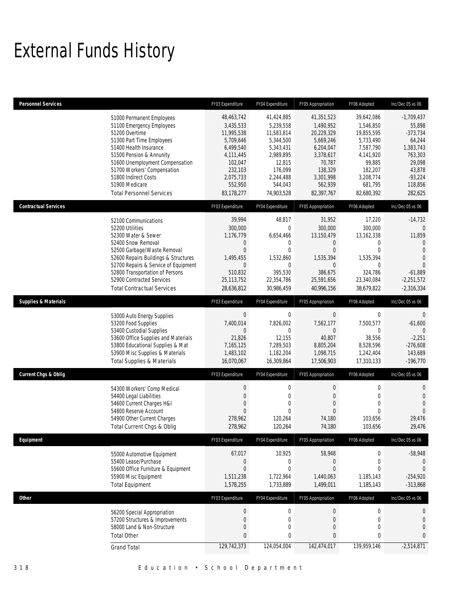# External Funds History

| <b>Personnel Services</b>       |                                                                                                                                                                                                                                                                                                            | FY03 Expenditure                                                                                                                         | FY04 Expenditure                                                                                                                        | FY05 Appropriation                                                                                                                      | FY06 Adopted                                                                                                                            | Inc/Dec 05 vs 06                                                                                                                         |
|---------------------------------|------------------------------------------------------------------------------------------------------------------------------------------------------------------------------------------------------------------------------------------------------------------------------------------------------------|------------------------------------------------------------------------------------------------------------------------------------------|-----------------------------------------------------------------------------------------------------------------------------------------|-----------------------------------------------------------------------------------------------------------------------------------------|-----------------------------------------------------------------------------------------------------------------------------------------|------------------------------------------------------------------------------------------------------------------------------------------|
|                                 | 51000 Permanent Employees<br>51100 Emergency Employees<br>51200 Overtime<br>51300 Part Time Employees<br>51400 Health Insurance<br>51500 Pension & Annunity<br>51600 Unemployment Compensation<br>51700 Workers' Compensation<br>51800 Indirect Costs<br>51900 Medicare<br><b>Total Personnel Services</b> | 48,463,742<br>3,435,533<br>11,995,538<br>5,709,646<br>6,499,540<br>4,111,445<br>102,047<br>232,103<br>2,075,733<br>552,950<br>83,178,277 | 41,424,885<br>5,239,558<br>11,583,814<br>5,344,500<br>5,343,431<br>2,989,895<br>12,815<br>176,099<br>2.244.488<br>544,043<br>74,903,528 | 41,351,523<br>1,490,952<br>20,229,329<br>5.669.246<br>6,204,047<br>3,378,617<br>70,787<br>138,329<br>3,301,998<br>562,939<br>82,397,767 | 39,642,086<br>1,546,850<br>19,855,595<br>5,733,490<br>7.587.790<br>4,141,920<br>99,885<br>182,207<br>3,208,774<br>681.795<br>82,680,392 | $-1,709,437$<br>55,898<br>$-373,734$<br>64,244<br>1,383,743<br>763,303<br>29,098<br>43,878<br>$-93,224$<br>118,856<br>282,625            |
| <b>Contractual Services</b>     |                                                                                                                                                                                                                                                                                                            | FY03 Expenditure                                                                                                                         | FY04 Expenditure                                                                                                                        | FY05 Appropriation                                                                                                                      | FY06 Adopted                                                                                                                            | Inc/Dec 05 vs 06                                                                                                                         |
|                                 | 52100 Communications<br>52200 Utilities<br>52300 Water & Sewer<br>52400 Snow Removal<br>52500 Garbage/Waste Removal<br>52600 Repairs Buildings & Structures<br>52700 Repairs & Service of Equipment<br>52800 Transportation of Persons<br>52900 Contracted Services<br><b>Total Contractual Services</b>   | 39,994<br>300,000<br>1,176,779<br>0<br>$\mathbf{0}$<br>1,495,455<br>$\mathbf{0}$<br>510,832<br>25,113,752<br>28,636,812                  | 48,817<br>$\mathbf{0}$<br>6,654,466<br>0<br>$\Omega$<br>1,532,860<br>$\Omega$<br>395,530<br>22,354,786<br>30,986,459                    | 31,952<br>300,000<br>13,150,479<br>$\overline{0}$<br>$\Omega$<br>1,535,394<br>$\overline{0}$<br>386.675<br>25,591,656<br>40,996,156     | 17,220<br>300,000<br>13,162,338<br>0<br>$\mathbf 0$<br>1,535,394<br>$\Omega$<br>324,786<br>23,340,084<br>38,679,822                     | $-14,732$<br>$\theta$<br>11,859<br>$\overline{0}$<br>$\overline{0}$<br>$\Omega$<br>$\Omega$<br>$-61,889$<br>$-2,251,572$<br>$-2,316,334$ |
| <b>Supplies &amp; Materials</b> |                                                                                                                                                                                                                                                                                                            | FY03 Expenditure                                                                                                                         | FY04 Expenditure                                                                                                                        | FY05 Appropriation                                                                                                                      | FY06 Adopted                                                                                                                            | Inc/Dec 05 vs 06                                                                                                                         |
|                                 | 53000 Auto Energy Supplies<br>53200 Food Supplies<br>53400 Custodial Supplies<br>53600 Office Supplies and Materials<br>53800 Educational Supplies & Mat<br>53900 Misc Supplies & Materials<br><b>Total Supplies &amp; Materials</b>                                                                       | $\mathbf 0$<br>7,400,014<br>$\mathbf 0$<br>21,826<br>7,165,125<br>1,483,102<br>16,070,067                                                | $\mathbf 0$<br>7,826,002<br>$\mathbf{0}$<br>12,155<br>7,289,503<br>1,182,204<br>16,309,864                                              | $\mathbf 0$<br>7,562,177<br>0<br>40,807<br>8,805,204<br>1,098,715<br>17,506,903                                                         | 0<br>7,500,577<br>0<br>38,556<br>8,528,596<br>1,242,404<br>17,310,133                                                                   | $\overline{0}$<br>$-61,600$<br>$\Omega$<br>$-2,251$<br>$-276,608$<br>143,689<br>$-196,770$                                               |
| <b>Current Chgs &amp; Oblig</b> |                                                                                                                                                                                                                                                                                                            | FY03 Expenditure                                                                                                                         | FY04 Expenditure                                                                                                                        | FY05 Appropriation                                                                                                                      | FY06 Adopted                                                                                                                            | Inc/Dec 05 vs 06                                                                                                                         |
|                                 | 54300 Workers' Comp Medical<br>54400 Legal Liabilities<br>54600 Current Charges H&I<br>54800 Reserve Account<br>54900 Other Current Charges<br>Total Current Chgs & Oblig                                                                                                                                  | $\mathbf 0$<br>$\mathbf 0$<br>$\overline{0}$<br>$\Omega$<br>278,962<br>278,962                                                           | $\mathbf 0$<br>$\mathbf 0$<br>$\mathbf{0}$<br>0<br>120,264<br>120,264                                                                   | 0<br>$\boldsymbol{0}$<br>$\mathbf{0}$<br>$\Omega$<br>74,180<br>74,180                                                                   | 0<br>$\boldsymbol{0}$<br>$\mathbf 0$<br>$\Omega$<br>103,656<br>103,656                                                                  | 0<br>$\mathbf{0}$<br>$\overline{0}$<br>$\Omega$<br>29,476<br>29,476                                                                      |
| Eauipment                       |                                                                                                                                                                                                                                                                                                            | FY03 Expenditure                                                                                                                         | FY04 Expenditure                                                                                                                        | FY05 Appropriation                                                                                                                      | FY06 Adopted                                                                                                                            | Inc/Dec 05 vs 06                                                                                                                         |
|                                 | 55000 Automotive Equipment<br>55400 Lease/Purchase<br>55600 Office Furniture & Equipment<br>55900 Misc Equipment<br><b>Total Equipment</b>                                                                                                                                                                 | 67,017<br>$\mathbf 0$<br>$\mathbf 0$<br>1,511,238<br>1,578,255                                                                           | 10,925<br>0<br>$\mathbf{0}$<br>1,722,964<br>1,733,889                                                                                   | 58,948<br>0<br>$\overline{0}$<br>1,440,063<br>1,499,011                                                                                 | 0<br>0<br>$\mathbf 0$<br>1,185,143<br>1,185,143                                                                                         | $-58,948$<br>$\mathbf{0}$<br>$\Omega$<br>$-254,920$<br>$-313,868$                                                                        |
| Other                           |                                                                                                                                                                                                                                                                                                            | FY03 Expenditure                                                                                                                         | FY04 Expenditure                                                                                                                        | FY05 Appropriation                                                                                                                      | FY06 Adopted                                                                                                                            | Inc/Dec 05 vs 06                                                                                                                         |
|                                 | 56200 Special Appropriation<br>57200 Structures & Improvements<br>58000 Land & Non-Structure<br><b>Total Other</b>                                                                                                                                                                                         | $\boldsymbol{0}$<br>$\mathbf{0}$<br>$\mathbf 0$<br>$\mathbf{0}$<br>129,742,373                                                           | $\boldsymbol{0}$<br>$\mathbf 0$<br>$\mathbf 0$<br>0<br>124,054,004                                                                      | $\boldsymbol{0}$<br>$\boldsymbol{0}$<br>$\boldsymbol{0}$<br>$\mathbf{0}$<br>142,474,017                                                 | $\boldsymbol{0}$<br>$\boldsymbol{0}$<br>$\boldsymbol{0}$<br>0<br>139,959,146                                                            | $\mathbf 0$<br>$\mathbf 0$<br>$\mathbf 0$<br>$\mathbf{0}$<br>$-2,514,871$                                                                |
|                                 | <b>Grand Total</b>                                                                                                                                                                                                                                                                                         |                                                                                                                                          |                                                                                                                                         |                                                                                                                                         |                                                                                                                                         |                                                                                                                                          |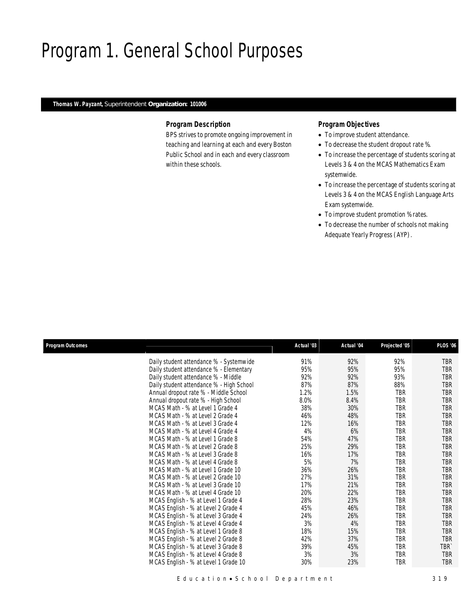# Program 1. General School Purposes

### *Thomas W. Payzant, Superintendent Organization: 101006*

### *Program Description*

BPS strives to promote ongoing improvement in teaching and learning at each and every Boston Public School and in each and every classroom within these schools.

### *Program Objectives*

- To improve student attendance.
- To decrease the student dropout rate %.
- To increase the percentage of students scoring at Levels 3 & 4 on the MCAS Mathematics Exam systemwide.
- To increase the percentage of students scoring at Levels 3 & 4 on the MCAS English Language Arts Exam systemwide.
- To improve student promotion % rates.
- To decrease the number of schools not making Adequate Yearly Progress (AYP).

| Program Outcomes |                                          | Actual '03 | Actual '04 | Projected '05 | PLOS '06         |
|------------------|------------------------------------------|------------|------------|---------------|------------------|
|                  | Daily student attendance % - Systemwide  | 91%        | 92%        | 92%           | <b>TBR</b>       |
|                  | Daily student attendance % - Elementary  | 95%        | 95%        | 95%           | <b>TBR</b>       |
|                  | Daily student attendance % - Middle      | 92%        | 92%        | 93%           | <b>TBR</b>       |
|                  | Daily student attendance % - High School | 87%        | 87%        | 88%           | <b>TBR</b>       |
|                  | Annual dropout rate % - Middle School    | 1.2%       | 1.5%       | TBR           | TBR              |
|                  | Annual dropout rate % - High School      | 8.0%       | 8.4%       | <b>TBR</b>    | <b>TBR</b>       |
|                  | MCAS Math - % at Level 1 Grade 4         | 38%        | 30%        | <b>TBR</b>    | <b>TBR</b>       |
|                  | MCAS Math - % at Level 2 Grade 4         | 46%        | 48%        | TBR           | <b>TBR</b>       |
|                  | MCAS Math - % at Level 3 Grade 4         | 12%        | 16%        | TBR           | <b>TBR</b>       |
|                  | MCAS Math - % at Level 4 Grade 4         | 4%         | 6%         | TBR           | TBR              |
|                  | MCAS Math - % at Level 1 Grade 8         | 54%        | 47%        | TBR           | <b>TBR</b>       |
|                  | MCAS Math - % at Level 2 Grade 8         | 25%        | 29%        | <b>TBR</b>    | <b>TBR</b>       |
|                  | MCAS Math - % at Level 3 Grade 8         | 16%        | 17%        | TBR           | <b>TBR</b>       |
|                  | MCAS Math - % at Level 4 Grade 8         | 5%         | 7%         | TBR           | <b>TBR</b>       |
|                  | MCAS Math - % at Level 1 Grade 10        | 36%        | 26%        | <b>TBR</b>    | <b>TBR</b>       |
|                  | MCAS Math - % at Level 2 Grade 10        | 27%        | 31%        | TBR           | <b>TBR</b>       |
|                  | MCAS Math - % at Level 3 Grade 10        | 17%        | 21%        | TBR           | <b>TBR</b>       |
|                  | MCAS Math - % at Level 4 Grade 10        | 20%        | 22%        | TBR           | <b>TBR</b>       |
|                  | MCAS English - % at Level 1 Grade 4      | 28%        | 23%        | TBR           | <b>TBR</b>       |
|                  | MCAS English - % at Level 2 Grade 4      | 45%        | 46%        | TBR           | TBR              |
|                  | MCAS English - % at Level 3 Grade 4      | 24%        | 26%        | TBR           | <b>TBR</b>       |
|                  | MCAS English - % at Level 4 Grade 4      | 3%         | 4%         | TBR           | <b>TBR</b>       |
|                  | MCAS English - % at Level 1 Grade 8      | 18%        | 15%        | TBR           | <b>TBR</b>       |
|                  | MCAS English - % at Level 2 Grade 8      | 42%        | 37%        | TBR           | <b>TBR</b>       |
|                  | MCAS English - % at Level 3 Grade 8      | 39%        | 45%        | <b>TBR</b>    | TBR <sup>®</sup> |
|                  | MCAS English - % at Level 4 Grade 8      | 3%         | 3%         | <b>TBR</b>    | <b>TBR</b>       |
|                  | MCAS English - % at Level 1 Grade 10     | 30%        | 23%        | TBR           | <b>TBR</b>       |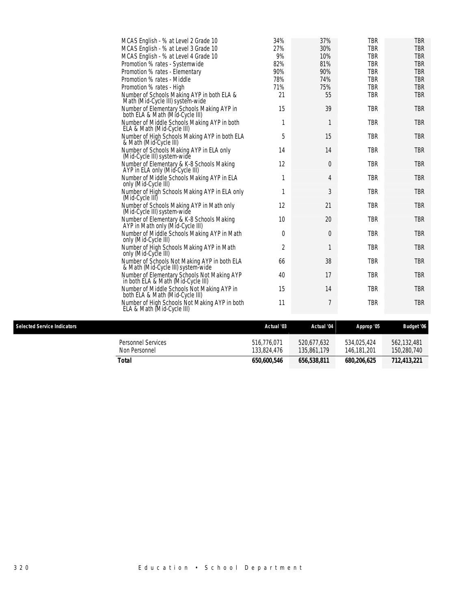| MCAS English - % at Level 2 Grade 10                                               | 34%        | 37%            | TBR        | TBR        |
|------------------------------------------------------------------------------------|------------|----------------|------------|------------|
| MCAS English - % at Level 3 Grade 10                                               | 27%        | 30%            | <b>TBR</b> | <b>TBR</b> |
| MCAS English - % at Level 4 Grade 10                                               | 9%         | 10%            | <b>TBR</b> | <b>TBR</b> |
| Promotion % rates - Systemwide                                                     | 82%        | 81%            | <b>TBR</b> | <b>TBR</b> |
| Promotion % rates - Elementary                                                     | 90%        | 90%            | <b>TBR</b> | <b>TBR</b> |
| Promotion % rates - Middle                                                         | 78%        | 74%            | <b>TBR</b> | <b>TBR</b> |
| Promotion % rates - High                                                           | 71%        | 75%            | <b>TBR</b> | <b>TBR</b> |
| Number of Schools Making AYP in both ELA &<br>Math (Mid-Cycle III) system-wide     | 21         | 55             | <b>TBR</b> | <b>TBR</b> |
| Number of Elementary Schools Making AYP in<br>both ELA & Math (Mid-Cycle III)      | 15         | 39             | <b>TBR</b> | <b>TBR</b> |
| Number of Middle Schools Making AYP in both<br>ELA & Math (Mid-Cycle III)          | 1          | 1              | <b>TBR</b> | <b>TBR</b> |
| Number of High Schools Making AYP in both ELA<br>& Math (Mid-Cycle III)            | 5          | 15             | TBR        | <b>TBR</b> |
| Number of Schools Making AYP in ELA only<br>(Mid-Cycle III) system-wide            | 14         | 14             | <b>TBR</b> | <b>TBR</b> |
| Number of Elementary & K-8 Schools Making<br>AYP in ELA only (Mid-Cycle III)       | 12         | $\theta$       | <b>TBR</b> | <b>TBR</b> |
| Number of Middle Schools Making AYP in ELA<br>only (Mid-Cycle III)                 | 1          | $\overline{4}$ | <b>TBR</b> | <b>TBR</b> |
| Number of High Schools Making AYP in ELA only<br>(Mid-Cycle III)                   | 1          | $\mathfrak{Z}$ | <b>TBR</b> | <b>TBR</b> |
| Number of Schools Making AYP in Math only<br>(Mid-Cycle III) system-wide           | 12         | 21             | <b>TBR</b> | <b>TBR</b> |
| Number of Elementary & K-8 Schools Making<br>AYP in Math only (Mid-Cycle III)      | 10         | 20             | <b>TBR</b> | <b>TBR</b> |
| Number of Middle Schools Making AYP in Math<br>only (Mid-Cycle III)                | 0          | $\theta$       | <b>TBR</b> | <b>TBR</b> |
| Number of High Schools Making AYP in Math<br>only (Mid-Cycle III)                  | 2          | 1              | <b>TBR</b> | <b>TBR</b> |
| Number of Schools Not Making AYP in both ELA<br>& Math (Mid-Cycle III) system-wide | 66         | 38             | <b>TBR</b> | <b>TBR</b> |
| Number of Elementary Schools Not Making AYP<br>in both ELA & Math (Mid-Cycle III)  | 40         | 17             | <b>TBR</b> | <b>TBR</b> |
| Number of Middle Schools Not Making AYP in<br>both ELA & Math (Mid-Cycle III)      | 15         | 14             | <b>TBR</b> | <b>TBR</b> |
| Number of High Schools Not Making AYP in both<br>ELA & Math (Mid-Cycle III)        | 11         | 7              | <b>TBR</b> | <b>TBR</b> |
|                                                                                    |            |                |            |            |
| elected Service Indicators                                                         | Actual '03 | Actual 'M      | Annron '05 | Rudaet '06 |

| <b>Selected Service Indicators</b> |                                            | Actual '03                 | Actual '04                 | Approp '05                 | <b>Budget</b> '06          |
|------------------------------------|--------------------------------------------|----------------------------|----------------------------|----------------------------|----------------------------|
|                                    | <b>Personnel Services</b><br>Non Personnel | 516.776.071<br>133.824.476 | 520.677.632<br>135,861,179 | 534.025.424<br>146.181.201 | 562.132.481<br>150,280,740 |
|                                    | Total                                      | 650.600.546                | 656,538,811                | 680,206.625                | 712.413.221                |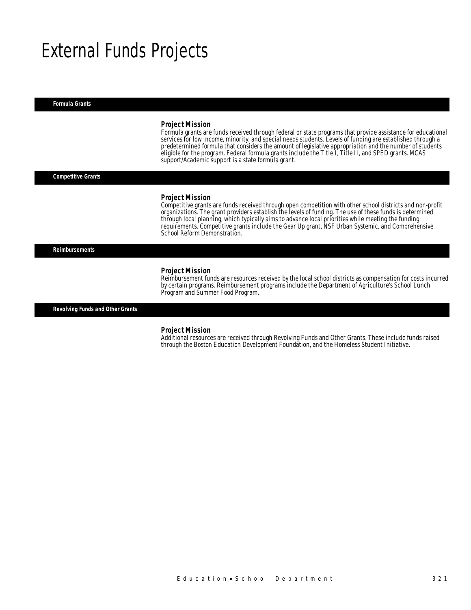# External Funds Projects

*Formula Grants* 

#### *Project Mission*

Formula grants are funds received through federal or state programs that provide assistance for educational services for low income, minority, and special needs students. Levels of funding are established through a predetermined formula that considers the amount of legislative appropriation and the number of students eligible for the program. Federal formula grants include the Title I, Title II, and SPED grants. MCAS support/Academic support is a state formula grant.

*Competitive Grants* 

#### *Project Mission*

Competitive grants are funds received through open competition with other school districts and non-profit organizations. The grant providers establish the levels of funding. The use of these funds is determined through local planning, which typically aims to advance local priorities while meeting the funding requirements. Competitive grants include the Gear Up grant, NSF Urban Systemic, and Comprehensive School Reform Demonstration.

*Reimbursements* 

#### *Project Mission*

Reimbursement funds are resources received by the local school districts as compensation for costs incurred by certain programs. Reimbursement programs include the Department of Agriculture's School Lunch Program and Summer Food Program.

*Revolving Funds and Other Grants* 

#### *Project Mission*

Additional resources are received through Revolving Funds and Other Grants. These include funds raised through the Boston Education Development Foundation, and the Homeless Student Initiative.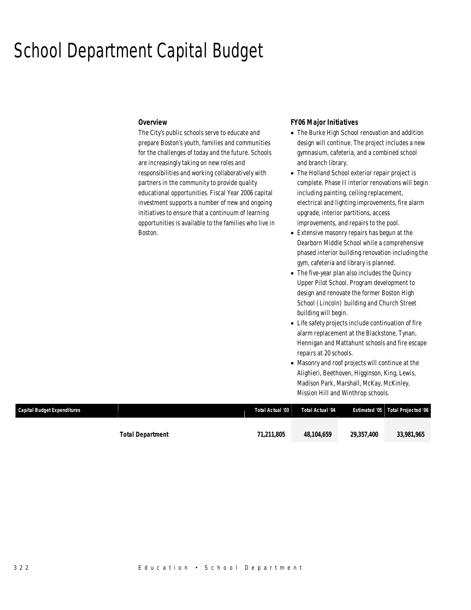# School Department Capital Budget

### *Overview*

The City's public schools serve to educate and prepare Boston's youth, families and communities for the challenges of today and the future. Schools are increasingly taking on new roles and responsibilities and working collaboratively with partners in the community to provide quality educational opportunities. Fiscal Year 2006 capital investment supports a number of new and ongoing initiatives to ensure that a continuum of learning opportunities is available to the families who live in Boston.

### *FY06 Major Initiatives*

- The Burke High School renovation and addition design will continue. The project includes a new gymnasium, cafeteria, and a combined school and branch library.
- The Holland School exterior repair project is complete. Phase II interior renovations will begin including painting, ceiling replacement, electrical and lighting improvements, fire alarm upgrade, interior partitions, access improvements, and repairs to the pool.
- Extensive masonry repairs has begun at the Dearborn Middle School while a comprehensive phased interior building renovation including the gym, cafeteria and library is planned.
- The five-year plan also includes the Quincy Upper Pilot School. Program development to design and renovate the former Boston High School (Lincoln) building and Church Street building will begin.
- Life safety projects include continuation of fire alarm replacement at the Blackstone, Tynan, Hennigan and Mattahunt schools and fire escape repairs at 20 schools.
- Masonry and roof projects will continue at the Alighieri, Beethoven, Higginson, King, Lewis, Madison Park, Marshall, McKay, McKinley, Mission Hill and Winthrop schools.

| Capital Budget Expenditures |                  | Total Actual '03 | Total Actual '04 |            | Estimated '05 Total Projected '06 |
|-----------------------------|------------------|------------------|------------------|------------|-----------------------------------|
|                             | Total Department | 71.211.805       | 48.104.659       | 29,357,400 | 33.981.965                        |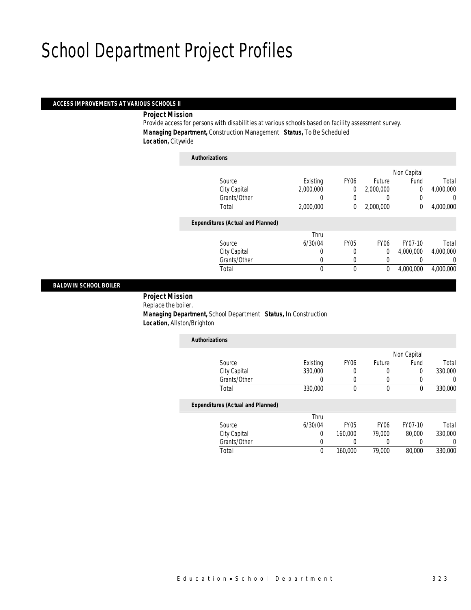### *ACCESS IMPROVEMENTS AT VARIOUS SCHOOLS II*

*Project Mission* 

Provide access for persons with disabilities at various schools based on facility assessment survey. *Managing Department,* Construction Management *Status,* To Be Scheduled *Location,* Citywide

| <b>Authorizations</b>                    |           |                |                  |             |           |
|------------------------------------------|-----------|----------------|------------------|-------------|-----------|
|                                          |           |                |                  | Non Capital |           |
| Source                                   | Existing  | <b>FY06</b>    | Future           | Fund        | Total     |
| City Capital                             | 2,000,000 | $\overline{0}$ | 2,000,000        | 0           | 4,000,000 |
| Grants/Other                             |           |                |                  |             | 0         |
| Total                                    | 2,000,000 | 0              | 2,000,000        | 0           | 4,000,000 |
| <b>Expenditures (Actual and Planned)</b> |           |                |                  |             |           |
|                                          | Thru      |                |                  |             |           |
| Source                                   | 6/30/04   | <b>FY05</b>    | FY <sub>06</sub> | FY07-10     | Total     |
| City Capital                             | 0         | 0              | $\overline{0}$   | 4.000.000   | 4,000,000 |
| Grants/Other                             | 0         | 0              | 0                |             | 0         |
| Total                                    | 0         | 0              | 0                | 4.000.000   | 4.000.000 |
|                                          |           |                |                  |             |           |

### *BALDWIN SCHOOL BOILER*

 *Project Mission* Replace the boiler. *Managing Department,* School Department *Status,* In Construction *Location,* Allston/Brighton

| <b>Authorizations</b>                    |          |                  |          |             |         |
|------------------------------------------|----------|------------------|----------|-------------|---------|
|                                          |          |                  |          | Non Capital |         |
| Source                                   | Existing | FY <sub>06</sub> | Future   | Fund        | Total   |
| City Capital                             | 330,000  |                  |          | 0           | 330,000 |
| Grants/Other                             |          |                  |          |             |         |
| Total                                    | 330,000  | 0                | $\theta$ | 0           | 330,000 |
| <b>Expenditures (Actual and Planned)</b> |          |                  |          |             |         |
|                                          | Thru     |                  |          |             |         |

| Total        |         | 160,000 | 79.000 | 80,000  | 330,000 |
|--------------|---------|---------|--------|---------|---------|
| Grants/Other |         |         |        |         |         |
| City Capital |         | 160,000 | 79.000 | 80,000  | 330,000 |
| Source       | 6/30/04 | FY05    | FY06   | FY07-10 | Total   |
|              | l hru   |         |        |         |         |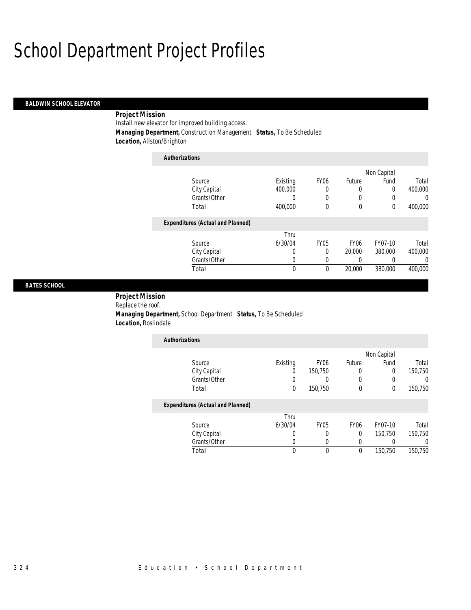### *BALDWIN SCHOOL ELEVATOR*

### *Project Mission*

Install new elevator for improved building access.

*Managing Department,* Construction Management *Status,* To Be Scheduled

*Location,* Allston/Brighton

| <b>Authorizations</b>                    |          |                  |                  |             |         |
|------------------------------------------|----------|------------------|------------------|-------------|---------|
|                                          |          |                  |                  | Non Capital |         |
| Source                                   | Existing | FY <sub>06</sub> | Future           | Fund        | Total   |
| City Capital                             | 400,000  | 0                | 0                | 0           | 400,000 |
| Grants/Other                             | 0        | $\left($         | 0                | 0           | 0       |
| Total                                    | 400,000  | 0                | 0                | 0           | 400,000 |
| <b>Expenditures (Actual and Planned)</b> |          |                  |                  |             |         |
|                                          | Thru     |                  |                  |             |         |
| Source                                   | 6/30/04  | <b>FY05</b>      | FY <sub>06</sub> | FY07-10     | Total   |
| City Capital                             | 0        | 0                | 20,000           | 380,000     | 400,000 |
| Grants/Other                             | 0        | 0                | 0                | 0           | 0       |
| Total                                    | 0        | 0                | 20,000           | 380,000     | 400,000 |

### *BATES SCHOOL*

## *Project Mission*

Replace the roof. *Managing Department,* School Department *Status,* To Be Scheduled *Location,* Roslindale

| <b>Authorizations</b> |          |                  |        |             |         |
|-----------------------|----------|------------------|--------|-------------|---------|
|                       |          |                  |        | Non Capital |         |
| Source                | Existing | FY <sub>06</sub> | Future | Fund        | Total   |
| City Capital          |          | 150,750          | 0      | O           | 150,750 |
| Grants/Other          |          |                  |        |             |         |
| Total                 |          | 150,750          | 0      | U           | 150,750 |

|              | Thru    |      |      |         |         |
|--------------|---------|------|------|---------|---------|
| Source       | 6/30/04 | FY05 | FY06 | FY07-10 | Total   |
| City Capital |         |      |      | 150.750 | 150,750 |
| Grants/Other |         |      |      |         |         |
| 「otal        |         |      |      | 150.750 | 150,750 |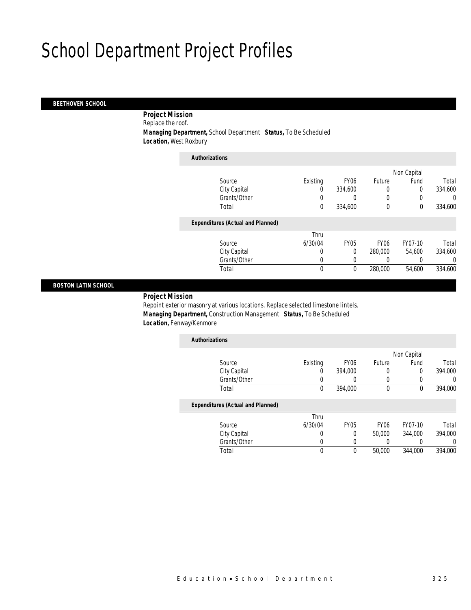### *BEETHOVEN SCHOOL*

 *Project Mission* Replace the roof.

*Managing Department,* School Department *Status,* To Be Scheduled

*Location,* West Roxbury

| <b>Authorizations</b>                    |              |             |                  |             |         |
|------------------------------------------|--------------|-------------|------------------|-------------|---------|
|                                          |              |             |                  | Non Capital |         |
| Source                                   | Existing     | <b>FY06</b> | Future           | Fund        | Total   |
| City Capital                             | 0            | 334,600     | 0                | 0           | 334,600 |
| Grants/Other                             | 0            |             | 0                |             | 0       |
| Total                                    | 0            | 334,600     | $\mathbf 0$      | $\mathbf 0$ | 334,600 |
| <b>Expenditures (Actual and Planned)</b> |              |             |                  |             |         |
|                                          | Thru         |             |                  |             |         |
| Source                                   | 6/30/04      | <b>FY05</b> | FY <sub>06</sub> | FY07-10     | Total   |
| City Capital                             | 0            | $\Omega$    | 280,000          | 54.600      | 334,600 |
| Grants/Other                             | 0            |             |                  |             | 0       |
| Total                                    | $\mathbf{0}$ | $\theta$    | 280,000          | 54,600      | 334,600 |
|                                          |              |             |                  |             |         |

### *BOSTON LATIN SCHOOL*

### *Project Mission*

Repoint exterior masonry at various locations. Replace selected limestone lintels. *Managing Department,* Construction Management *Status,* To Be Scheduled *Location,* Fenway/Kenmore

| <b>Authorizations</b>                    |          |                  |        |             |         |
|------------------------------------------|----------|------------------|--------|-------------|---------|
|                                          |          |                  |        | Non Capital |         |
| Source                                   | Existing | FY <sub>06</sub> | Future | Fund        | Total   |
| City Capital                             | 0        | 394,000          | O      |             | 394,000 |
| Grants/Other                             |          |                  |        |             |         |
| Total                                    | 0        | 394,000          | 0      |             | 394,000 |
| <b>Expenditures (Actual and Planned)</b> |          |                  |        |             |         |

|              | Thru    |      |        |         |         |
|--------------|---------|------|--------|---------|---------|
| Source       | 6/30/04 | FY05 | FY06   | FY07-10 | Total   |
| City Capital |         |      | 50,000 | 344.000 | 394,000 |
| Grants/Other |         |      |        |         |         |
| Total        |         |      | 50,000 | 344,000 | 394,000 |
|              |         |      |        |         |         |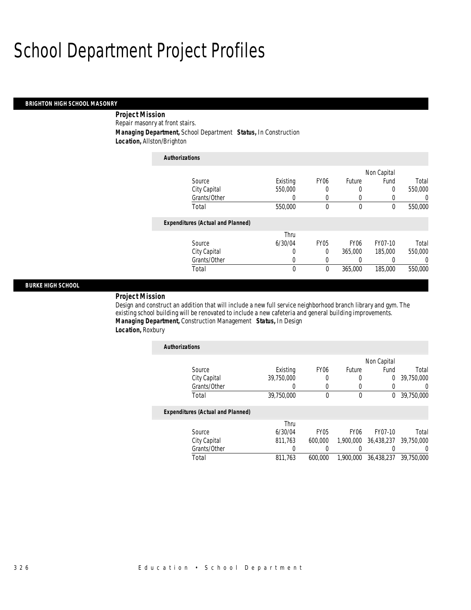#### *BRIGHTON HIGH SCHOOL MASONRY*

 *Project Mission* Repair masonry at front stairs. *Managing Department,* School Department *Status,* In Construction *Location,* Allston/Brighton

| <b>Authorizations</b>                    |          |                  |                  |             |          |
|------------------------------------------|----------|------------------|------------------|-------------|----------|
|                                          |          |                  |                  | Non Capital |          |
| Source                                   | Existing | FY <sub>06</sub> | Future           | Fund        | Total    |
| City Capital                             | 550,000  | 0                | 0                | 0           | 550,000  |
| Grants/Other                             | 0        | 0                | $\left($         |             | $\Omega$ |
| Total                                    | 550,000  | 0                | $\mathbf 0$      | $\theta$    | 550,000  |
| <b>Expenditures (Actual and Planned)</b> |          |                  |                  |             |          |
|                                          | Thru     |                  |                  |             |          |
| Source                                   | 6/30/04  | FY <sub>05</sub> | FY <sub>06</sub> | FY07-10     | Total    |
| City Capital                             | 0        | 0                | 365,000          | 185,000     | 550,000  |
| Grants/Other                             | 0        | 0                | 0                |             | $\Omega$ |
| Total                                    | 0        | $\theta$         | 365,000          | 185,000     | 550,000  |

### *BURKE HIGH SCHOOL*

*Project Mission* 

Design and construct an addition that will include a new full service neighborhood branch library and gym. The existing school building will be renovated to include a new cafeteria and general building improvements. *Managing Department,* Construction Management *Status,* In Design *Location,* Roxbury

| <b>Authorizations</b>                    |            |                  |                  |             |                  |
|------------------------------------------|------------|------------------|------------------|-------------|------------------|
|                                          |            |                  |                  | Non Capital |                  |
| Source                                   | Existing   | FY <sub>06</sub> | Future           | Fund        | Total            |
| City Capital                             | 39.750.000 | 0                | 0                | 0           | 39,750,000       |
| Grants/Other                             | 0          | $\Omega$         |                  |             | 0                |
| Total                                    | 39,750,000 | $\theta$         | $\theta$         | 0           | 39,750,000       |
| <b>Expenditures (Actual and Planned)</b> |            |                  |                  |             |                  |
|                                          | Thru       |                  |                  |             |                  |
| Source                                   | 6/30/04    | FY <sub>05</sub> | FY <sub>06</sub> | FY07-10     | Total            |
| City Capital                             | 811,763    | 600,000          | 1,900,000        | 36,438,237  | 39.750.000       |
| Grants/Other                             |            |                  |                  |             | $\left( \right)$ |
| Total                                    | 811.763    | 600,000          | 1,900,000        | 36,438,237  | 39.750.000       |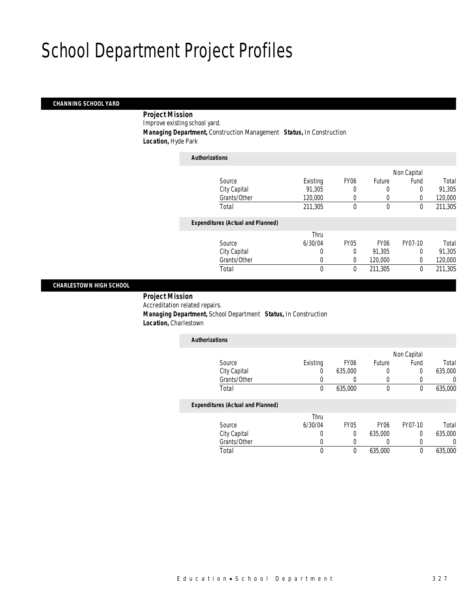### *CHANNING SCHOOL YARD*

 *Project Mission* Improve existing school yard. *Managing Department,* Construction Management *Status,* In Construction *Location,* Hyde Park

| <b>Authorizations</b>                    |              |             |                  |             |         |
|------------------------------------------|--------------|-------------|------------------|-------------|---------|
|                                          |              |             |                  | Non Capital |         |
| Source                                   | Existing     | <b>FY06</b> | Future           | Fund        | Total   |
| City Capital                             | 91,305       | 0           | 0                | 0           | 91,305  |
| Grants/Other                             | 120,000      | 0           | 0                | $\Omega$    | 120,000 |
| Total                                    | 211,305      | 0           | $\mathbf 0$      | $\mathbf 0$ | 211,305 |
| <b>Expenditures (Actual and Planned)</b> |              |             |                  |             |         |
|                                          | Thru         |             |                  |             |         |
| Source                                   | 6/30/04      | <b>FY05</b> | FY <sub>06</sub> | FY07-10     | Total   |
| City Capital                             | $\Omega$     | 0           | 91,305           | $\Omega$    | 91,305  |
| Grants/Other                             | 0            | $\Omega$    | 120,000          | $\Omega$    | 120,000 |
| Total                                    | $\mathbf{0}$ | 0           | 211,305          | 0           | 211,305 |
|                                          |              |             |                  |             |         |

### *CHARLESTOWN HIGH SCHOOL*

 *Project Mission* Accreditation related repairs. *Managing Department,* School Department *Status,* In Construction *Location,* Charlestown

| <b>Authorizations</b>                    |                  |                  |        |             |         |
|------------------------------------------|------------------|------------------|--------|-------------|---------|
|                                          |                  |                  |        | Non Capital |         |
| Source                                   | Existing         | FY <sub>06</sub> | Future | Fund        | Total   |
| City Capital                             | $\left( \right)$ | 635,000          | 0      | 0           | 635,000 |
| Grants/Other                             |                  |                  |        |             | 0       |
| Total                                    | 0                | 635,000          | 0      | 0           | 635,000 |
| <b>Expenditures (Actual and Planned)</b> |                  |                  |        |             |         |
|                                          | Thru             |                  |        |             |         |

| Source       | 6/30/04 | FY05 | FY06    | FY07-10 | Total   |
|--------------|---------|------|---------|---------|---------|
| City Capital |         |      | 635,000 |         | 635,000 |
| Grants/Other |         |      |         |         |         |
| Total        |         |      | 635,000 |         | 635,000 |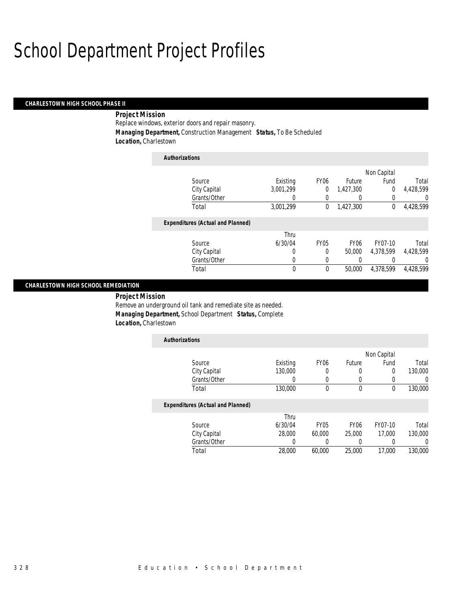#### *CHARLESTOWN HIGH SCHOOL PHASE II*

### *Project Mission*

Replace windows, exterior doors and repair masonry. *Managing Department,* Construction Management *Status,* To Be Scheduled *Location,* Charlestown

| <b>Authorizations</b>                    |           |                  |                  |             |           |
|------------------------------------------|-----------|------------------|------------------|-------------|-----------|
|                                          |           |                  |                  | Non Capital |           |
| Source                                   | Existing  | FY <sub>06</sub> | Future           | Fund        | Total     |
| City Capital                             | 3.001.299 | $\theta$         | 1.427.300        | 0           | 4.428.599 |
| Grants/Other                             | 0         |                  | $\left( \right)$ |             | 0         |
| Total                                    | 3,001,299 | 0                | 1,427,300        | 0           | 4,428,599 |
| <b>Expenditures (Actual and Planned)</b> |           |                  |                  |             |           |
|                                          | Thru      |                  |                  |             |           |
| Source                                   | 6/30/04   | <b>FY05</b>      | FY <sub>06</sub> | FY07-10     | Total     |
| City Capital                             | 0         | 0                | 50,000           | 4.378.599   | 4.428.599 |
| Grants/Other                             | 0         | 0                | 0                |             | 0         |
| Total                                    | 0         | 0                | 50,000           | 4.378.599   | 4,428,599 |

### *CHARLESTOWN HIGH SCHOOL REMEDIATION*

*Project Mission* 

Remove an underground oil tank and remediate site as needed. *Managing Department,* School Department *Status,* Complete *Location,* Charlestown

| <b>Authorizations</b>                    |          |                  |                  |             |         |
|------------------------------------------|----------|------------------|------------------|-------------|---------|
|                                          |          |                  |                  | Non Capital |         |
| Source                                   | Existing | FY <sub>06</sub> | Future           | Fund        | Total   |
| City Capital                             | 130,000  | 0                | 0                | 0           | 130,000 |
| Grants/Other                             |          | 0                | 0                |             |         |
| Total                                    | 130,000  | 0                | 0                | 0           | 130,000 |
| <b>Expenditures (Actual and Planned)</b> |          |                  |                  |             |         |
|                                          | Thru     |                  |                  |             |         |
| Source                                   | 6/30/04  | FY05             | FY <sub>06</sub> | FY07-10     | Total   |
| City Capital                             | 28,000   | 60,000           | 25,000           | 17,000      | 130,000 |

Grants/Other 0 0 0 0 0 0

Total 28,000 60,000 25,000 17,000 130,000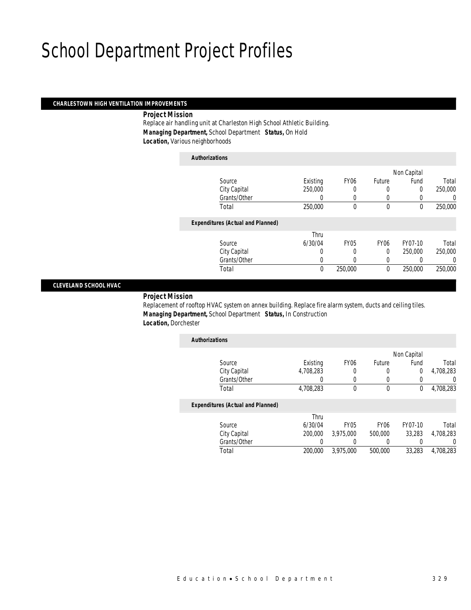### *CHARLESTOWN HIGH VENTILATION IMPROVEMENTS*

*Project Mission* 

Replace air handling unit at Charleston High School Athletic Building. *Managing Department,* School Department *Status,* On Hold *Location,* Various neighborhoods

*Authorizations*

|                                          |          |             |                  | Non Capital |         |
|------------------------------------------|----------|-------------|------------------|-------------|---------|
| Source                                   | Existing | <b>FY06</b> | Future           | Fund        | Total   |
| City Capital                             | 250,000  | 0           | 0                | 0           | 250,000 |
| Grants/Other                             |          |             | 0                |             | 0       |
| Total                                    | 250,000  | 0           | $\mathbf 0$      | $\mathbf 0$ | 250,000 |
| <b>Expenditures (Actual and Planned)</b> |          |             |                  |             |         |
|                                          | Thru     |             |                  |             |         |
| Source                                   | 6/30/04  | <b>FY05</b> | FY <sub>06</sub> | FY07-10     | Total   |
| City Capital                             | 0        | 0           | $\Omega$         | 250,000     | 250,000 |
| Grants/Other                             | 0        |             | 0                |             | 0       |
| Total                                    | 0        | 250,000     | $\theta$         | 250,000     | 250,000 |
|                                          |          |             |                  |             |         |

### *CLEVELAND SCHOOL HVAC*

### *Project Mission*

Replacement of rooftop HVAC system on annex building. Replace fire alarm system, ducts and ceiling tiles. *Managing Department,* School Department *Status,* In Construction *Location,* Dorchester

| <b>Authorizations</b>                    |           |                  |        |             |           |
|------------------------------------------|-----------|------------------|--------|-------------|-----------|
|                                          |           |                  |        | Non Capital |           |
| Source                                   | Existing  | FY <sub>06</sub> | Future | Fund        | Total     |
| City Capital                             | 4,708,283 |                  |        |             | 4,708,283 |
| Grants/Other                             |           |                  |        |             |           |
| Total                                    | 4,708,283 |                  |        |             | 4,708,283 |
| <b>Expenditures (Actual and Planned)</b> |           |                  |        |             |           |

|              | Thru    |             |                  |         |           |
|--------------|---------|-------------|------------------|---------|-----------|
| Source       | 6/30/04 | <b>FY05</b> | FY <sub>06</sub> | FY07-10 | Total     |
| City Capital | 200,000 | 3.975.000   | 500,000          | 33.283  | 4,708,283 |
| Grants/Other |         |             |                  |         |           |
| Total        | 200,000 | 3,975,000   | 500,000          | 33,283  | 4,708,283 |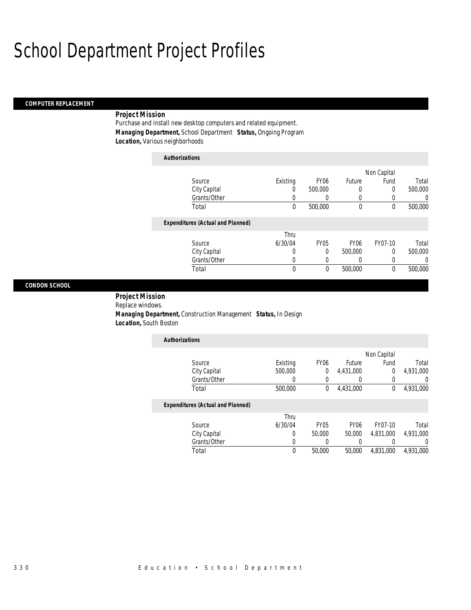### *COMPUTER REPLACEMENT*

### *Project Mission*

Purchase and install new desktop computers and related equipment. *Managing Department,* School Department *Status,* Ongoing Program *Location,* Various neighborhoods

*Authorizations*

| <b>Authorizations</b>                    |          |                  |             |             |                |
|------------------------------------------|----------|------------------|-------------|-------------|----------------|
|                                          |          |                  |             | Non Capital |                |
| Source                                   | Existing | FY <sub>06</sub> | Future      | Fund        | Total          |
| City Capital                             | 0        | 500,000          | $\Omega$    | 0           | 500,000        |
| Grants/Other                             |          | U                | 0           |             | $\overline{0}$ |
| Total                                    | 0        | 500,000          | $\theta$    | $\theta$    | 500,000        |
| <b>Expenditures (Actual and Planned)</b> |          |                  |             |             |                |
|                                          | Thru     |                  |             |             |                |
| Source                                   | 6/30/04  | <b>FY05</b>      | <b>FY06</b> | FY07-10     | Total          |
| City Capital                             | 0        | 0                | 500,000     | 0           | 500,000        |
| Grants/Other                             | 0        | 0                |             |             | $\Omega$       |
| Total                                    | 0        | $\theta$         | 500,000     | $\theta$    | 500,000        |

### *CONDON SCHOOL*

 *Project Mission* Replace windows.

 *Managing Department,* Construction Management *Status,* In Design *Location,* South Boston

| <b>Authorizations</b> |          |                  |           |             |           |
|-----------------------|----------|------------------|-----------|-------------|-----------|
|                       |          |                  |           | Non Capital |           |
| Source                | Existing | FY <sub>06</sub> | Future    | Fund        | Total     |
| City Capital          | 500,000  |                  | 4,431,000 |             | 4,931,000 |
| Grants/Other          |          |                  |           |             |           |
| Total                 | 500,000  |                  | 4,431,000 |             | 4,931,000 |

|              | Thru    |             |                  |           |           |
|--------------|---------|-------------|------------------|-----------|-----------|
| Source       | 6/30/04 | <b>FY05</b> | FY <sub>06</sub> | FY07-10   | Total     |
| City Capital |         | 50,000      | 50,000           | 4.831.000 | 4,931,000 |
| Grants/Other |         |             |                  |           |           |
| Total        |         | 50,000      | 50,000           | 4.831.000 | 4.931.000 |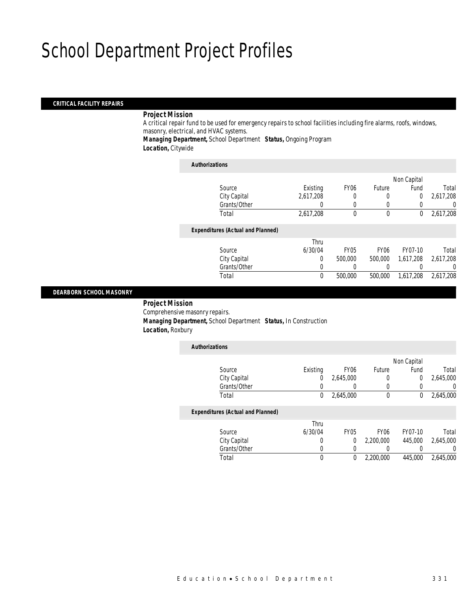### *CRITICAL FACILITY REPAIRS*

### *Project Mission*

A critical repair fund to be used for emergency repairs to school facilities including fire alarms, roofs, windows, masonry, electrical, and HVAC systems.

*Managing Department,* School Department *Status,* Ongoing Program Locatio

| <b>ən</b> , Citywide |  |
|----------------------|--|
|                      |  |

*Authorizations*

| AUUIVIILAUVIIS                           |           |             |             |             |           |
|------------------------------------------|-----------|-------------|-------------|-------------|-----------|
|                                          |           |             |             | Non Capital |           |
| Source                                   | Existing  | <b>FY06</b> | Future      | Fund        | Total     |
| City Capital                             | 2,617,208 | 0           | 0           | 0           | 2,617,208 |
| Grants/Other                             |           | 0           | 0           |             | 0         |
| Total                                    | 2,617,208 | 0           | $\mathbf 0$ | $\theta$    | 2,617,208 |
| <b>Expenditures (Actual and Planned)</b> |           |             |             |             |           |
|                                          | Thru      |             |             |             |           |
| Source                                   | 6/30/04   | <b>FY05</b> | <b>FY06</b> | FY07-10     | Total     |
| City Capital                             | 0         | 500,000     | 500,000     | 1,617,208   | 2,617,208 |
| Grants/Other                             | 0         |             |             |             | 0         |
| Total                                    | $\theta$  | 500,000     | 500,000     | 1,617,208   | 2,617,208 |
|                                          |           |             |             |             |           |

### *DEARBORN SCHOOL MASONRY*

 *Project Mission* Comprehensive masonry repairs. *Managing Department,* School Department *Status,* In Construction *Location,* Roxbury

| <b>Authorizations</b>                    |          |                  |                  |             |           |
|------------------------------------------|----------|------------------|------------------|-------------|-----------|
|                                          |          |                  |                  | Non Capital |           |
| Source                                   | Existing | FY <sub>06</sub> | Future           | Fund        | Total     |
| City Capital                             | 0        | 2,645,000        | 0                | 0           | 2,645,000 |
| Grants/Other                             | 0        |                  | 0                |             | 0         |
| Total                                    | 0        | 2,645,000        | $\theta$         | 0           | 2,645,000 |
| <b>Expenditures (Actual and Planned)</b> |          |                  |                  |             |           |
|                                          | Thru     |                  |                  |             |           |
| Source                                   | 6/30/04  | <b>FY05</b>      | FY <sub>06</sub> | FY07-10     | Total     |
| City Capital                             | 0        | 0                | 2.200.000        | 445,000     | 2.645.000 |
| Grants/Other                             | 0        | 0                | 0                |             | 0         |
| Total                                    | 0        | 0                | 2,200,000        | 445,000     | 2,645,000 |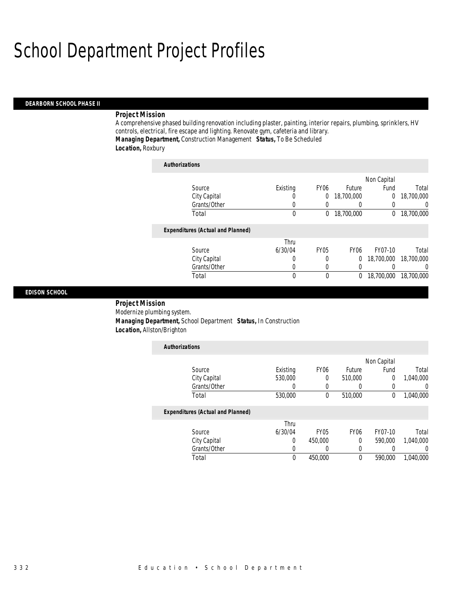#### *DEARBORN SCHOOL PHASE II*

### *Project Mission*

A comprehensive phased building renovation including plaster, painting, interior repairs, plumbing, sprinklers, HV controls, electrical, fire escape and lighting. Renovate gym, cafeteria and library. *Managing Department,* Construction Management *Status,* To Be Scheduled *Location,* Roxbury

| <b>Authorizations</b>                    |          |                  |             |             |                |
|------------------------------------------|----------|------------------|-------------|-------------|----------------|
|                                          |          |                  |             | Non Capital |                |
| Source                                   | Existing | FY <sub>06</sub> | Future      | Fund        | Total          |
| City Capital                             | U        | 0                | 18,700,000  | 0           | 18,700,000     |
| Grants/Other                             | O        | 0                |             |             | $\overline{0}$ |
| Total                                    | 0        | 0                | 18,700,000  | $\Omega$    | 18,700,000     |
| <b>Expenditures (Actual and Planned)</b> |          |                  |             |             |                |
|                                          | Thru     |                  |             |             |                |
| Source                                   | 6/30/04  | <b>FY05</b>      | <b>FY06</b> | FY07-10     | Total          |
| City Capital                             | 0        | 0                | $\theta$    | 18,700,000  | 18,700,000     |
| Grants/Other                             | 0        | 0                |             |             | $\Omega$       |
| Total                                    | 0        | 0                | 0           | 18,700,000  | 18,700,000     |

### *EDISON SCHOOL*

### *Project Mission*

Modernize plumbing system. *Managing Department,* School Department *Status,* In Construction *Location,* Allston/Brighton

| <b>Authorizations</b>                    |          |                  |                  |             |           |
|------------------------------------------|----------|------------------|------------------|-------------|-----------|
|                                          |          |                  |                  | Non Capital |           |
| Source                                   | Existing | FY <sub>06</sub> | Future           | Fund        | Total     |
| City Capital                             | 530,000  | $\Omega$         | 510,000          | 0           | 1,040,000 |
| Grants/Other                             |          | 0                | 0                | 0           |           |
| Total                                    | 530,000  | $\theta$         | 510,000          | 0           | 1,040,000 |
| <b>Expenditures (Actual and Planned)</b> |          |                  |                  |             |           |
|                                          | Thru     |                  |                  |             |           |
| Source                                   | 6/30/04  | FY <sub>05</sub> | FY <sub>06</sub> | FY07-10     | Total     |
| City Capital                             | $\Omega$ | 450,000          | 0                | 590,000     | 1.040.000 |
| Grants/Other                             |          | 0                | 0                |             |           |
| Total                                    | $\theta$ | 450,000          | 0                | 590,000     | 1.040.000 |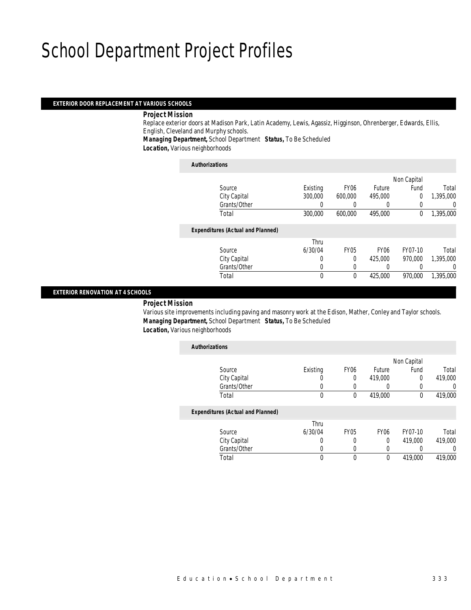### *EXTERIOR DOOR REPLACEMENT AT VARIOUS SCHOOLS*

*Project Mission* 

Replace exterior doors at Madison Park, Latin Academy, Lewis, Agassiz, Higginson, Ohrenberger, Edwards, Ellis, English, Cleveland and Murphy schools.

*Managing Department,* School Department *Status,* To Be Scheduled

*Location,* Various neighborhoods

#### *Authorizations*

|                                          |          |                  |                  | Non Capital |           |
|------------------------------------------|----------|------------------|------------------|-------------|-----------|
| Source                                   | Existing | FY <sub>06</sub> | Future           | Fund        | Total     |
| City Capital                             | 300,000  | 600,000          | 495,000          | $\Omega$    | 1,395,000 |
| Grants/Other                             |          |                  |                  |             | 0         |
| Total                                    | 300,000  | 600,000          | 495,000          | 0           | 1,395,000 |
|                                          |          |                  |                  |             |           |
| <b>Expenditures (Actual and Planned)</b> |          |                  |                  |             |           |
|                                          | Thru     |                  |                  |             |           |
| Source                                   | 6/30/04  | <b>FY05</b>      | FY <sub>06</sub> | FY07-10     | Total     |
| City Capital                             | 0        | $\Omega$         | 425,000          | 970.000     | 1,395,000 |
| Grants/Other                             | 0        |                  | 0                |             | 0         |
| Total                                    | $\theta$ | $\theta$         | 425,000          | 970.000     | 1,395,000 |
|                                          |          |                  |                  |             |           |

### *EXTERIOR RENOVATION AT 4 SCHOOLS*

### *Project Mission*

Various site improvements including paving and masonry work at the Edison, Mather, Conley and Taylor schools. *Managing Department,* School Department *Status,* To Be Scheduled *Location,* Various neighborhoods

| <b>Authorizations</b>                    |          |             |                  |             |         |
|------------------------------------------|----------|-------------|------------------|-------------|---------|
|                                          |          |             |                  | Non Capital |         |
| Source                                   | Existing | <b>FY06</b> | Future           | Fund        | Total   |
| City Capital                             | 0        | 0           | 419,000          | 0           | 419,000 |
| Grants/Other                             | 0        | 0           | 0                |             | 0       |
| Total                                    | 0        | 0           | 419,000          | $\mathbf 0$ | 419,000 |
| <b>Expenditures (Actual and Planned)</b> |          |             |                  |             |         |
|                                          | Thru     |             |                  |             |         |
| Source                                   | 6/30/04  | <b>FY05</b> | FY <sub>06</sub> | FY07-10     | Total   |
| City Capital                             | 0        | 0           | 0                | 419,000     | 419,000 |
| Grants/Other                             | 0        | 0           | 0                |             | 0       |
| Total                                    | 0        | 0           | $\mathbf 0$      | 419,000     | 419,000 |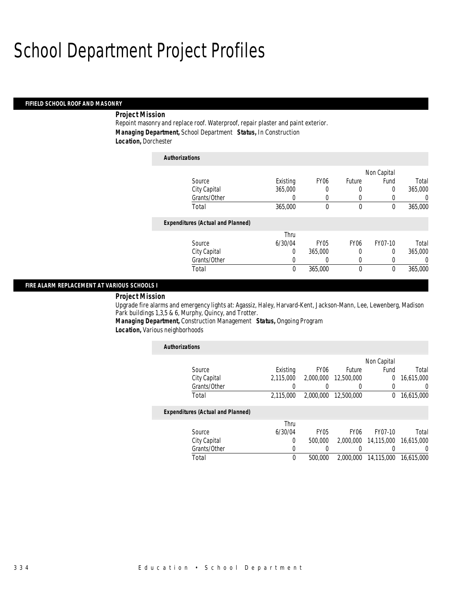#### *FIFIELD SCHOOL ROOF AND MASONRY*

### *Project Mission*

Repoint masonry and replace roof. Waterproof, repair plaster and paint exterior. *Managing Department,* School Department *Status,* In Construction *Location,* Dorchester

| <b>Authorizations</b>                    |          |             |             |             |          |
|------------------------------------------|----------|-------------|-------------|-------------|----------|
|                                          |          |             |             | Non Capital |          |
| Source                                   | Existing | <b>FY06</b> | Future      | Fund        | Total    |
| City Capital                             | 365,000  | 0           | 0           | 0           | 365,000  |
| Grants/Other                             | 0        |             | 0           |             | 0        |
| Total                                    | 365,000  | 0           | 0           | 0           | 365,000  |
| <b>Expenditures (Actual and Planned)</b> |          |             |             |             |          |
|                                          | Thru     |             |             |             |          |
| Source                                   | 6/30/04  | <b>FY05</b> | <b>FY06</b> | FY07-10     | Total    |
| City Capital                             | 0        | 365,000     | 0           | $\theta$    | 365,000  |
| Grants/Other                             | 0        | 0           | 0           |             | $\Omega$ |
| Total                                    | 0        | 365,000     | 0           | 0           | 365,000  |

### *FIRE ALARM REPLACEMENT AT VARIOUS SCHOOLS I*

### *Project Mission*

Upgrade fire alarms and emergency lights at: Agassiz, Haley, Harvard-Kent, Jackson-Mann, Lee, Lewenberg, Madison Park buildings 1,3,5 & 6, Murphy, Quincy, and Trotter.

*Managing Department,* Construction Management *Status,* Ongoing Program *Location,* Various neighborhoods

| <b>Authorizations</b>                    |           |                  |                  |             |                  |
|------------------------------------------|-----------|------------------|------------------|-------------|------------------|
|                                          |           |                  |                  | Non Capital |                  |
| Source                                   | Existing  | FY <sub>06</sub> | Future           | Fund        | Total            |
| City Capital                             | 2.115.000 | 2.000.000        | 12,500,000       | 0           | 16,615,000       |
| Grants/Other                             |           |                  | 0                | 0           | 0                |
| Total                                    | 2.115.000 | 2,000,000        | 12,500,000       | 0           | 16,615,000       |
| <b>Expenditures (Actual and Planned)</b> |           |                  |                  |             |                  |
|                                          | Thru      |                  |                  |             |                  |
| Source                                   | 6/30/04   | FY <sub>05</sub> | FY <sub>06</sub> | FY07-10     | Total            |
| City Capital                             | 0         | 500,000          | 2,000,000        | 14,115,000  | 16.615.000       |
| Grants/Other                             | $\Omega$  |                  |                  |             | $\left( \right)$ |
| Total                                    | 0         | 500,000          | 2.000.000        | 14,115,000  | 16.615.000       |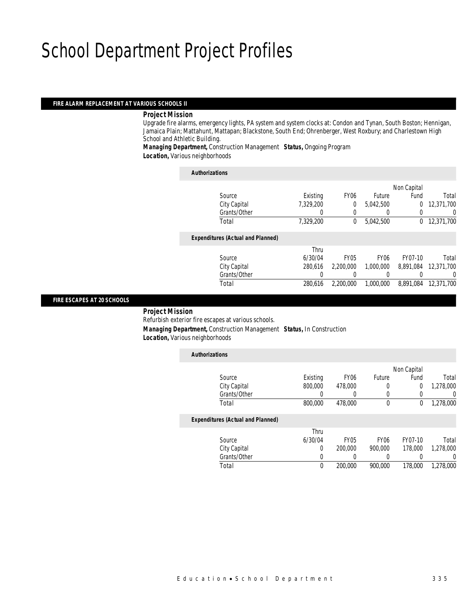#### *FIRE ALARM REPLACEMENT AT VARIOUS SCHOOLS II*

### *Project Mission*

Upgrade fire alarms, emergency lights, PA system and system clocks at: Condon and Tynan, South Boston; Hennigan, Jamaica Plain; Mattahunt, Mattapan; Blackstone, South End; Ohrenberger, West Roxbury; and Charlestown High School and Athletic Building.

*Managing Department,* Construction Management *Status,* Ongoing Program *Location,* Various neighborhoods

| <b>Authorizations</b>                    |           |                  |             |             |            |
|------------------------------------------|-----------|------------------|-------------|-------------|------------|
|                                          |           |                  |             | Non Capital |            |
| Source                                   | Existing  | FY <sub>06</sub> | Future      | Fund        | Total      |
| City Capital                             | 7.329.200 | 0                | 5.042.500   | 0           | 12.371.700 |
| Grants/Other                             |           | 0                | 0           |             | U          |
| Total                                    | 7,329,200 | 0                | 5.042.500   | $\Omega$    | 12,371,700 |
| <b>Expenditures (Actual and Planned)</b> |           |                  |             |             |            |
|                                          | Thru      |                  |             |             |            |
| Source                                   | 6/30/04   | <b>FY05</b>      | <b>FY06</b> | FY07-10     | Total      |
| City Capital                             | 280.616   | 2.200.000        | 1.000.000   | 8.891.084   | 12.371.700 |
| Grants/Other                             | 0         | 0                | 0           |             | $\left($   |
| Total                                    | 280.616   | 2,200,000        | 1,000,000   | 8.891.084   | 12,371,700 |

### *FIRE ESCAPES AT 20 SCHOOLS*

*Project Mission* 

Refurbish exterior fire escapes at various schools.

 *Managing Department,* Construction Management *Status,* In Construction *Location,* Various neighborhoods

| <b>Authorizations</b>                    |          |                  |             |             |           |
|------------------------------------------|----------|------------------|-------------|-------------|-----------|
|                                          |          |                  |             | Non Capital |           |
| Source                                   | Existing | FY <sub>06</sub> | Future      | Fund        | Total     |
| City Capital                             | 800,000  | 478,000          | 0           | 0           | 1,278,000 |
| Grants/Other                             | 0        | 0                | 0           | 0           | 0         |
| Total                                    | 800,000  | 478,000          | $\theta$    | 0           | 1,278,000 |
| <b>Expenditures (Actual and Planned)</b> |          |                  |             |             |           |
|                                          | Thru     |                  |             |             |           |
| Source                                   | 6/30/04  | <b>FY05</b>      | <b>FY06</b> | FY07-10     | Total     |
| City Capital                             | 0        | 200,000          | 900,000     | 178,000     | 1.278.000 |
| Grants/Other                             | 0        |                  | 0           |             | 0         |
| Total                                    | 0        | 200,000          | 900,000     | 178,000     | 1.278.000 |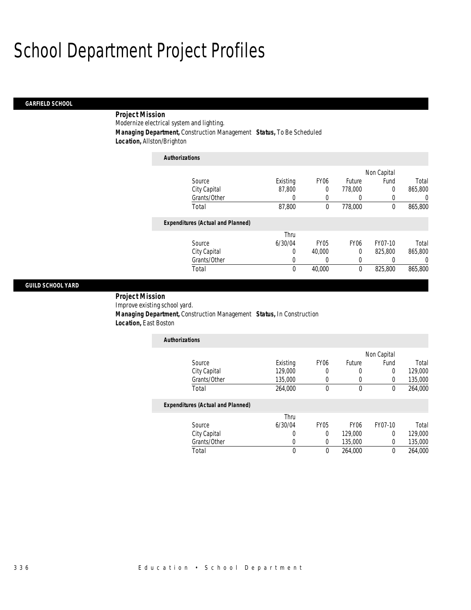### *GARFIELD SCHOOL*

### *Project Mission*

Modernize electrical system and lighting.

*Managing Department,* Construction Management *Status,* To Be Scheduled

*Location,* Allston/Brighton

| <b>Authorizations</b>                    |          |                  |                  |             |         |
|------------------------------------------|----------|------------------|------------------|-------------|---------|
|                                          |          |                  |                  | Non Capital |         |
| Source                                   | Existing | <b>FY06</b>      | Future           | Fund        | Total   |
| City Capital                             | 87,800   | 0                | 778,000          | $\theta$    | 865,800 |
| Grants/Other                             | 0        | $\Omega$         | 0                | 0           | 0       |
| Total                                    | 87,800   | 0                | 778,000          | $\theta$    | 865,800 |
| <b>Expenditures (Actual and Planned)</b> |          |                  |                  |             |         |
|                                          | Thru     |                  |                  |             |         |
| Source                                   | 6/30/04  | FY <sub>05</sub> | FY <sub>06</sub> | FY07-10     | Total   |
| City Capital                             | 0        | 40,000           | 0                | 825,800     | 865,800 |
| Grants/Other                             | 0        | 0                | 0                |             | 0       |
| Total                                    | 0        | 40,000           | $\theta$         | 825,800     | 865,800 |

### *GUILD SCHOOL YARD*

 *Project Mission* Improve existing school yard. *Managing Department,* Construction Management *Status,* In Construction *Location,* East Boston

| <b>Authorizations</b> |          |                  |        |             |         |
|-----------------------|----------|------------------|--------|-------------|---------|
|                       |          |                  |        | Non Capital |         |
| Source                | Existing | FY <sub>06</sub> | Future | Fund        | Total   |
| City Capital          | 129,000  | 0                |        |             | 129,000 |
| Grants/Other          | 135,000  |                  |        |             | 135,000 |
| Total                 | 264,000  |                  |        |             | 264,000 |

|              | Thru    |             |                  |         |         |
|--------------|---------|-------------|------------------|---------|---------|
| Source       | 6/30/04 | <b>FY05</b> | FY <sub>06</sub> | FY07-10 | Total   |
| City Capital |         |             | 129,000          |         | 129,000 |
| Grants/Other |         |             | 135.000          |         | 135,000 |
| Total        |         |             | 264,000          |         | 264,000 |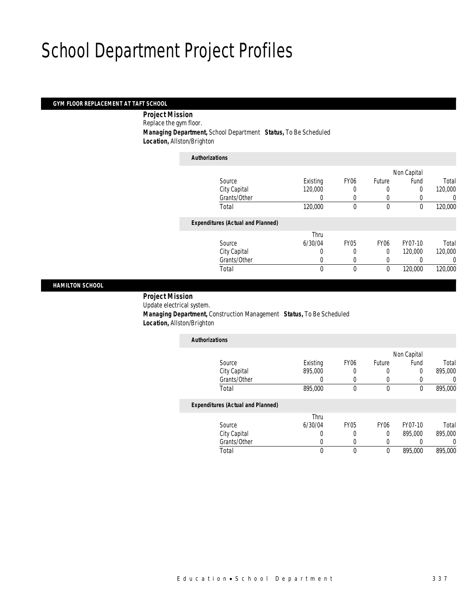### *GYM FLOOR REPLACEMENT AT TAFT SCHOOL*

 *Project Mission* Replace the gym floor. *Managing Department,* School Department *Status,* To Be Scheduled *Location,* Allston/Brighton

| <b>Authorizations</b>                    |                  |                  |             |             |                  |
|------------------------------------------|------------------|------------------|-------------|-------------|------------------|
|                                          |                  |                  |             | Non Capital |                  |
| Source                                   | Existing         | FY <sub>06</sub> | Future      | Fund        | Total            |
| City Capital                             | 120,000          | 0                | 0           | 0           | 120,000          |
| Grants/Other                             | $\left( \right)$ | 0                | 0           | 0           | $\left( \right)$ |
| Total                                    | 120,000          | 0                | $\theta$    | 0           | 120,000          |
| <b>Expenditures (Actual and Planned)</b> |                  |                  |             |             |                  |
|                                          | Thru             |                  |             |             |                  |
| Source                                   | 6/30/04          | FY <sub>05</sub> | <b>FY06</b> | FY07-10     | Total            |
| City Capital                             | 0                | 0                | $\Omega$    | 120,000     | 120,000          |
| Grants/Other                             | $\left( \right)$ | 0                | 0           | 0           | 0                |
| Total                                    | $\Omega$         | $\mathbf 0$      | $\theta$    | 120,000     | 120,000          |

### *HAMILTON SCHOOL*

 *Project Mission* Update electrical system. *Managing Department,* Construction Management *Status,* To Be Scheduled *Location,* Allston/Brighton

| <b>Authorizations</b>                    |          |                  |                  |             |         |
|------------------------------------------|----------|------------------|------------------|-------------|---------|
|                                          |          |                  |                  | Non Capital |         |
| Source                                   | Existing | FY <sub>06</sub> | Future           | Fund        | Total   |
| City Capital                             | 895,000  | 0                | 0                | 0           | 895,000 |
| Grants/Other                             |          | $\left($         | 0                | 0           |         |
| Total                                    | 895,000  | 0                | 0                | 0           | 895,000 |
| <b>Expenditures (Actual and Planned)</b> |          |                  |                  |             |         |
|                                          | Thru     |                  |                  |             |         |
| Source                                   | 6/30/04  | <b>FY05</b>      | FY <sub>06</sub> | FY07-10     | Total   |
| City Capital                             |          | 0                | $\theta$         | 895,000     | 895,000 |
| Grants/Other                             |          | 0                | 0                |             |         |
| Total                                    |          | 0                | 0                | 895,000     | 895,000 |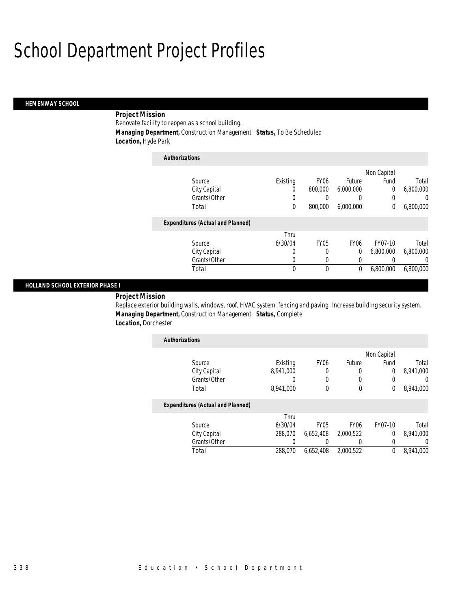### *HEMENWAY SCHOOL*

### *Project Mission*

Renovate facility to reopen as a school building. *Managing Department,* Construction Management *Status,* To Be Scheduled *Location,* Hyde Park

| <b>Authorizations</b>                    |          |                  |             |             |           |
|------------------------------------------|----------|------------------|-------------|-------------|-----------|
|                                          |          |                  |             | Non Capital |           |
| Source                                   | Existing | FY <sub>06</sub> | Future      | Fund        | Total     |
| City Capital                             | 0        | 800,000          | 6,000,000   | 0           | 6,800,000 |
| Grants/Other                             | 0        | 0                | 0           | 0           | 0         |
| Total                                    | 0        | 800,000          | 6,000,000   | 0           | 6,800,000 |
| <b>Expenditures (Actual and Planned)</b> |          |                  |             |             |           |
|                                          | Thru     |                  |             |             |           |
| Source                                   | 6/30/04  | <b>FY05</b>      | <b>FY06</b> | FY07-10     | Total     |
| City Capital                             | 0        | 0                | 0           | 6,800,000   | 6,800,000 |
| Grants/Other                             | 0        | 0                | 0           | 0           | $\left($  |
| Total                                    | 0        | 0                | 0           | 6,800,000   | 6,800,000 |

### *HOLLAND SCHOOL EXTERIOR PHASE I*

### *Project Mission*

Replace exterior building walls, windows, roof, HVAC system, fencing and paving. Increase building security system. *Managing Department,* Construction Management *Status,* Complete *Location,* Dorchester

| <b>Authorizations</b> |           |                  |        |             |           |
|-----------------------|-----------|------------------|--------|-------------|-----------|
|                       |           |                  |        | Non Capital |           |
| Source                | Existing  | FY <sub>06</sub> | Future | Fund        | Total     |
| City Capital          | 8,941,000 |                  |        |             | 8,941,000 |
| Grants/Other          |           |                  |        |             |           |
| Total                 | 8,941,000 |                  |        |             | 8,941,000 |

|              | Thru    |             |                  |         |           |
|--------------|---------|-------------|------------------|---------|-----------|
| Source       | 6/30/04 | <b>FY05</b> | FY <sub>06</sub> | FY07-10 | Total     |
| City Capital | 288.070 | 6.652.408   | 2.000.522        |         | 8.941.000 |
| Grants/Other |         |             |                  |         |           |
| Total        | 288.070 | 6.652.408   | 2.000.522        |         | 8,941,000 |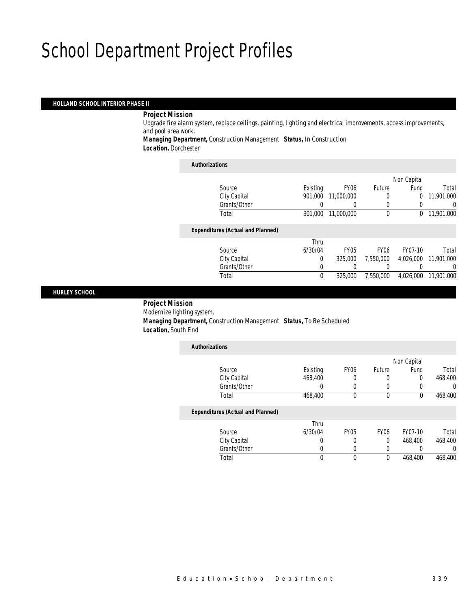### *HOLLAND SCHOOL INTERIOR PHASE II*

### *Project Mission*

Upgrade fire alarm system, replace ceilings, painting, lighting and electrical improvements, access improvements, and pool area work.

*Managing Department,* Construction Management *Status,* In Construction *Location,* Dorchester

| <b>Authorizations</b>                    |          |                  |                  |             |            |
|------------------------------------------|----------|------------------|------------------|-------------|------------|
|                                          |          |                  |                  | Non Capital |            |
| Source                                   | Existing | FY <sub>06</sub> | Future           | Fund        | Total      |
| City Capital                             | 901.000  | 11,000,000       | 0                | 0           | 11,901,000 |
| Grants/Other                             |          | 0                | $\theta$         | 0           | U          |
| Total                                    | 901.000  | 11,000,000       | 0                | 0           | 11,901,000 |
| <b>Expenditures (Actual and Planned)</b> |          |                  |                  |             |            |
|                                          | Thru     |                  |                  |             |            |
| Source                                   | 6/30/04  | <b>FY05</b>      | FY <sub>06</sub> | FY07-10     | Total      |
| City Capital                             | 0        | 325,000          | 7.550.000        | 4,026,000   | 11,901,000 |
| Grants/Other                             | 0        | 0                | 0                | 0           | U          |
| Total                                    | 0        | 325,000          | 7.550.000        | 4.026.000   | 11,901,000 |
|                                          |          |                  |                  |             |            |

### *HURLEY SCHOOL*

 *Project Mission* Modernize lighting system. *Managing Department,* Construction Management *Status,* To Be Scheduled *Location,* South End

| <b>Authorizations</b>                    |          |             |                  |             |         |
|------------------------------------------|----------|-------------|------------------|-------------|---------|
|                                          |          |             |                  | Non Capital |         |
| Source                                   | Existing | <b>FY06</b> | Future           | Fund        | Total   |
| City Capital                             | 468,400  | 0           | 0                |             | 468,400 |
| Grants/Other                             | 0        | 0           | 0                |             | 0       |
| Total                                    | 468,400  | 0           | $\mathbf 0$      | $\theta$    | 468,400 |
| <b>Expenditures (Actual and Planned)</b> |          |             |                  |             |         |
|                                          | Thru     |             |                  |             |         |
| Source                                   | 6/30/04  | <b>FY05</b> | FY <sub>06</sub> | FY07-10     | Total   |
| City Capital                             | 0        | 0           | $\Omega$         | 468.400     | 468,400 |
| Grants/Other                             | 0        |             |                  |             | 0       |
| Total                                    | 0        | 0           | $\mathbf 0$      | 468,400     | 468,400 |
|                                          |          |             |                  |             |         |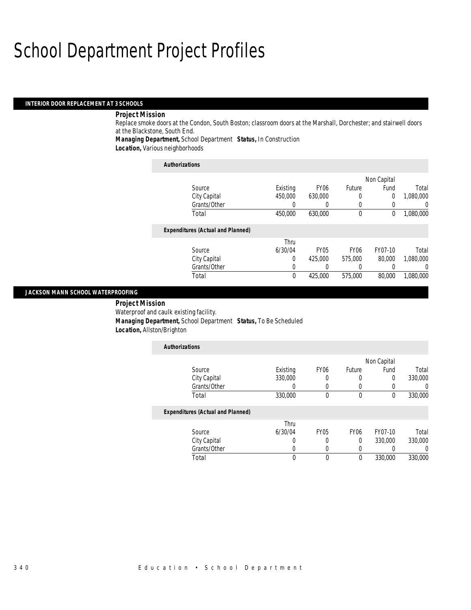### *INTERIOR DOOR REPLACEMENT AT 3 SCHOOLS*

### *Project Mission*

Replace smoke doors at the Condon, South Boston; classroom doors at the Marshall, Dorchester; and stairwell doors at the Blackstone, South End.

*Managing Department,* School Department *Status,* In Construction

*Location,* Various neighborhoods

| <b>Authorizations</b>                    |          |                  |                  |             |                  |
|------------------------------------------|----------|------------------|------------------|-------------|------------------|
|                                          |          |                  |                  | Non Capital |                  |
| Source                                   | Existing | FY <sub>06</sub> | Future           | Fund        | Total            |
| City Capital                             | 450,000  | 630,000          | 0                | 0           | 1.080.000        |
| Grants/Other                             |          | 0                | 0                | 0           | $\left( \right)$ |
| Total                                    | 450,000  | 630,000          | $\mathbf 0$      | 0           | 1,080,000        |
| <b>Expenditures (Actual and Planned)</b> |          |                  |                  |             |                  |
|                                          | Thru     |                  |                  |             |                  |
| Source                                   | 6/30/04  | FY <sub>05</sub> | FY <sub>06</sub> | FY07-10     | Total            |
| City Capital                             | $\Omega$ | 425,000          | 575,000          | 80,000      | 1.080.000        |
| Grants/Other                             | 0        | $\left($         | $\theta$         | 0           |                  |
| Total                                    | 0        | 425,000          | 575,000          | 80,000      | 1,080,000        |

### *JACKSON MANN SCHOOL WATERPROOFING*

 *Project Mission* Waterproof and caulk existing facility. *Managing Department,* School Department *Status,* To Be Scheduled *Location,* Allston/Brighton

| <b>Authorizations</b>                    |          |              |             |             |         |
|------------------------------------------|----------|--------------|-------------|-------------|---------|
|                                          |          |              |             | Non Capital |         |
| Source                                   | Existing | <b>FY06</b>  | Future      | Fund        | Total   |
| City Capital                             | 330,000  | 0            | 0           | 0           | 330,000 |
| Grants/Other                             |          | 0            | 0           | 0           |         |
| Total                                    | 330,000  | $\mathbf{0}$ | $\mathbf 0$ | 0           | 330,000 |
| <b>Expenditures (Actual and Planned)</b> |          |              |             |             |         |
|                                          | Thru     |              |             |             |         |
| Source                                   | 6/30/04  | <b>FY05</b>  | <b>FY06</b> | FY07-10     | Total   |
| City Capital                             |          | 0            | 0           | 330,000     | 330,000 |
| Grants/Other                             |          | 0            | 0           |             |         |
| Total                                    | 0        | 0            | 0           | 330,000     | 330,000 |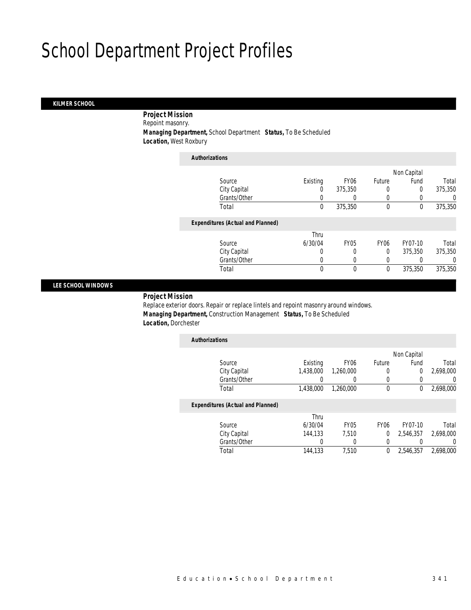### *KILMER SCHOOL*

 *Project Mission* Repoint masonry.

*Managing Department,* School Department *Status,* To Be Scheduled

*Location,* West Roxbury

| <b>Authorizations</b>                    |             |             |                  |             |         |
|------------------------------------------|-------------|-------------|------------------|-------------|---------|
|                                          |             |             |                  | Non Capital |         |
| Source                                   | Existing    | <b>FY06</b> | Future           | Fund        | Total   |
| City Capital                             | 0           | 375,350     | 0                | 0           | 375,350 |
| Grants/Other                             | 0           |             | 0                |             | 0       |
| Total                                    | $\mathbf 0$ | 375,350     | $\mathbf 0$      | 0           | 375,350 |
| <b>Expenditures (Actual and Planned)</b> |             |             |                  |             |         |
|                                          | Thru        |             |                  |             |         |
| Source                                   | 6/30/04     | <b>FY05</b> | FY <sub>06</sub> | FY07-10     | Total   |
| City Capital                             | 0           | 0           | 0                | 375,350     | 375,350 |
| Grants/Other                             | 0           |             | 0                |             | 0       |
| Total                                    | 0           | 0           | $\mathbf 0$      | 375,350     | 375,350 |

### *LEE SCHOOL WINDOWS*

*Project Mission* 

Replace exterior doors. Repair or replace lintels and repoint masonry around windows. *Managing Department,* Construction Management *Status,* To Be Scheduled *Location,* Dorchester

| <b>Authorizations</b>                    |           |                  |             |             |           |
|------------------------------------------|-----------|------------------|-------------|-------------|-----------|
|                                          |           |                  |             | Non Capital |           |
| Source                                   | Existing  | FY <sub>06</sub> | Future      | Fund        | Total     |
| City Capital                             | 1.438.000 | 1,260,000        | 0           | 0           | 2,698,000 |
| Grants/Other                             |           |                  | 0           | 0           |           |
| Total                                    | 1,438,000 | 1,260,000        | 0           | 0           | 2,698,000 |
| <b>Expenditures (Actual and Planned)</b> |           |                  |             |             |           |
|                                          | Thru      |                  |             |             |           |
| Source                                   | 6/30/04   | FY <sub>05</sub> | <b>FY06</b> | FY07-10     | Total     |
| City Capital                             | 144.133   | 7,510            | 0           | 2,546,357   | 2,698,000 |
| Grants/Other                             |           |                  | 0           |             |           |
| Total                                    | 144,133   | 7.510            | 0           | 2.546.357   | 2.698.000 |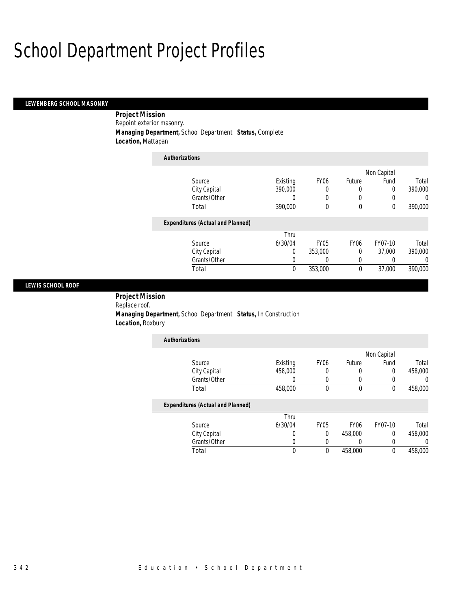I

### *LEWENBERG SCHOOL MASONRY*

 *Project Mission* Repoint exterior masonry. *Managing Department,* School Department *Status,* Complete *Location,* Mattapan

| <b>Authorizations</b>                    |                  |                  |                  |             |          |
|------------------------------------------|------------------|------------------|------------------|-------------|----------|
|                                          |                  |                  |                  | Non Capital |          |
| Source                                   | Existing         | FY <sub>06</sub> | Future           | Fund        | Total    |
| City Capital                             | 390,000          | 0                | 0                | 0           | 390,000  |
| Grants/Other                             | $\left( \right)$ | $\left($         | O                |             | 0        |
| Total                                    | 390,000          | $\theta$         | $\theta$         | $\theta$    | 390,000  |
| <b>Expenditures (Actual and Planned)</b> |                  |                  |                  |             |          |
|                                          | Thru             |                  |                  |             |          |
| Source                                   | 6/30/04          | <b>FY05</b>      | FY <sub>06</sub> | FY07-10     | Total    |
| City Capital                             | 0                | 353,000          | 0                | 37.000      | 390,000  |
| Grants/Other                             | 0                | 0                | 0                |             | $\Omega$ |
| Total                                    | 0                | 353,000          | $\theta$         | 37,000      | 390,000  |

### *LEWIS SCHOOL ROOF*

 *Project Mission* Replace roof. *Managing Department,* School Department *Status,* In Construction *Location,* Roxbury

| <b>Authorizations</b>                    |          |                  |        |             |         |
|------------------------------------------|----------|------------------|--------|-------------|---------|
|                                          |          |                  |        | Non Capital |         |
| Source                                   | Existing | FY <sub>06</sub> | Future | Fund        | Total   |
| City Capital                             | 458,000  | 0                | 0      | 0           | 458,000 |
| Grants/Other                             |          |                  | 0      |             |         |
| Total                                    | 458,000  | 0                | 0      | 0           | 458,000 |
| <b>Expenditures (Actual and Planned)</b> |          |                  |        |             |         |
|                                          | Thru     |                  |        |             |         |

| Total        |         |      | 458,000          |         | 458,000 |
|--------------|---------|------|------------------|---------|---------|
| Grants/Other |         |      |                  |         |         |
| City Capital |         |      | 458,000          |         | 458,000 |
| Source       | 6/30/04 | FY05 | FY <sub>06</sub> | FY07-10 | Total   |
|              | Thru    |      |                  |         |         |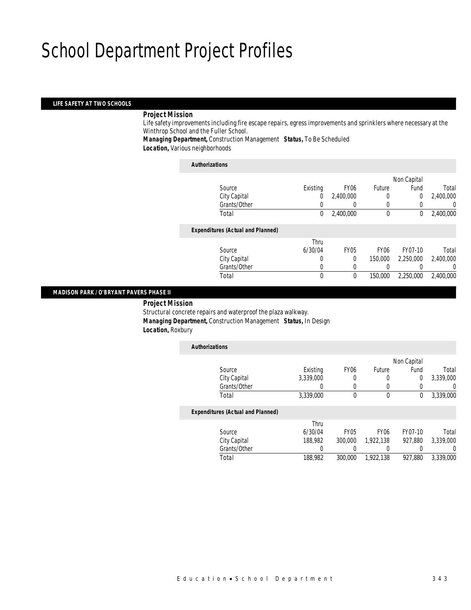### *LIFE SAFETY AT TWO SCHOOLS*

### *Project Mission*

Life safety improvements including fire escape repairs, egress improvements and sprinklers where necessary at the Winthrop School and the Fuller School.

*Managing Department,* Construction Management *Status,* To Be Scheduled *Location,* Various neighborhoods

#### *Authorizations*

|                                          |          |                  |             | Non Capital |           |
|------------------------------------------|----------|------------------|-------------|-------------|-----------|
| Source                                   | Existing | FY <sub>06</sub> | Future      | Fund        | Total     |
| City Capital                             | 0        | 2,400,000        | 0           | 0           | 2,400,000 |
| Grants/Other                             |          |                  | 0           |             | 0         |
| Total                                    | 0        | 2,400,000        | $\mathbf 0$ | 0           | 2,400,000 |
| <b>Expenditures (Actual and Planned)</b> |          |                  |             |             |           |
|                                          | Thru     |                  |             |             |           |
| Source                                   | 6/30/04  | <b>FY05</b>      | <b>FY06</b> | FY07-10     | Total     |
| City Capital                             | 0        | 0                | 150,000     | 2,250,000   | 2,400,000 |
| Grants/Other                             | 0        |                  |             |             | 0         |
| Total                                    | 0        | 0                | 150,000     | 2,250,000   | 2,400,000 |
|                                          |          |                  |             |             |           |

### *MADISON PARK / O'BRYANT PAVERS PHASE II*

 *Project Mission* Structural concrete repairs and waterproof the plaza walkway. *Managing Department,* Construction Management *Status,* In Design *Location,* Roxbury

| <b>Authorizations</b>                    |           |                  |                  |             |           |
|------------------------------------------|-----------|------------------|------------------|-------------|-----------|
|                                          |           |                  |                  | Non Capital |           |
| Source                                   | Existing  | <b>FY06</b>      | Future           | Fund        | Total     |
| City Capital                             | 3.339.000 | 0                | 0                | $\theta$    | 3.339.000 |
| Grants/Other                             | 0         | 0                | 0                | 0           | 0         |
| Total                                    | 3,339,000 | 0                | 0                | 0           | 3,339,000 |
| <b>Expenditures (Actual and Planned)</b> |           |                  |                  |             |           |
|                                          | Thru      |                  |                  |             |           |
| Source                                   | 6/30/04   | FY <sub>05</sub> | FY <sub>06</sub> | FY07-10     | Total     |
| City Capital                             | 188,982   | 300,000          | 1.922.138        | 927.880     | 3.339.000 |
| Grants/Other                             | 0         |                  | 0                |             | 0         |
| Total                                    | 188,982   | 300,000          | 1.922.138        | 927,880     | 3.339.000 |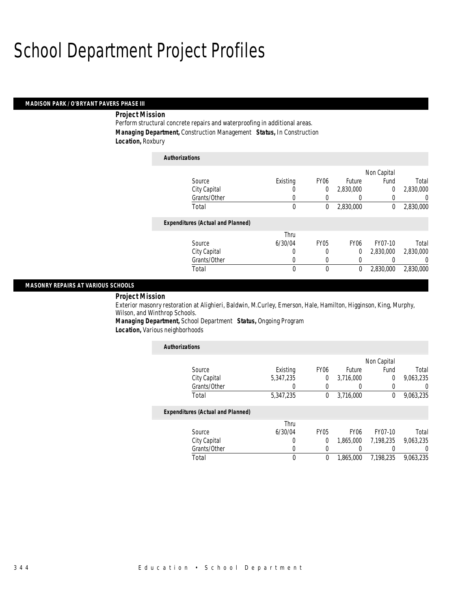### *MADISON PARK / O'BRYANT PAVERS PHASE III*

### *Project Mission*

Perform structural concrete repairs and waterproofing in additional areas. *Managing Department,* Construction Management *Status,* In Construction *Location,* Roxbury

| <b>Authorizations</b>                    |          |                  |                  |             |                |
|------------------------------------------|----------|------------------|------------------|-------------|----------------|
|                                          |          |                  |                  | Non Capital |                |
| Source                                   | Existing | FY <sub>06</sub> | Future           | Fund        | Total          |
| City Capital                             | 0        | 0                | 2,830,000        | 0           | 2,830,000      |
| Grants/Other                             | 0        | 0                | 0                | 0           | 0              |
| Total                                    | 0        | 0                | 2,830,000        | 0           | 2,830,000      |
| <b>Expenditures (Actual and Planned)</b> |          |                  |                  |             |                |
|                                          | Thru     |                  |                  |             |                |
| Source                                   | 6/30/04  | <b>FY05</b>      | FY <sub>06</sub> | FY07-10     | Total          |
| City Capital                             | 0        | 0                | 0                | 2,830,000   | 2,830,000      |
| Grants/Other                             | 0        | 0                | 0                |             | $\overline{0}$ |
| Total                                    | 0        | 0                | 0                | 2,830,000   | 2,830,000      |

### *MASONRY REPAIRS AT VARIOUS SCHOOLS*

### *Project Mission*

Exterior masonry restoration at Alighieri, Baldwin, M.Curley, Emerson, Hale, Hamilton, Higginson, King, Murphy, Wilson, and Winthrop Schools.

*Managing Department,* School Department *Status,* Ongoing Program

*Location,* Various neighborhoods

| <b>Authorizations</b>                    |           |                  |                  |             |                |
|------------------------------------------|-----------|------------------|------------------|-------------|----------------|
|                                          |           |                  |                  | Non Capital |                |
| Source                                   | Existing  | FY <sub>06</sub> | Future           | Fund        | Total          |
| City Capital                             | 5.347.235 | 0                | 3,716,000        | $\Omega$    | 9,063,235      |
| Grants/Other                             |           | $\left($         |                  |             | $\overline{0}$ |
| Total                                    | 5,347,235 | $\theta$         | 3,716,000        | $\theta$    | 9,063,235      |
| <b>Expenditures (Actual and Planned)</b> |           |                  |                  |             |                |
|                                          | Thru      |                  |                  |             |                |
| Source                                   | 6/30/04   | <b>FY05</b>      | FY <sub>06</sub> | FY07-10     | Total          |
| City Capital                             | 0         | $\Omega$         | 1.865.000        | 7.198.235   | 9.063.235      |
| Grants/Other                             | 0         | $\left($         |                  |             | $\Omega$       |
| Total                                    | 0         | $\theta$         | 1.865.000        | 7.198.235   | 9.063.235      |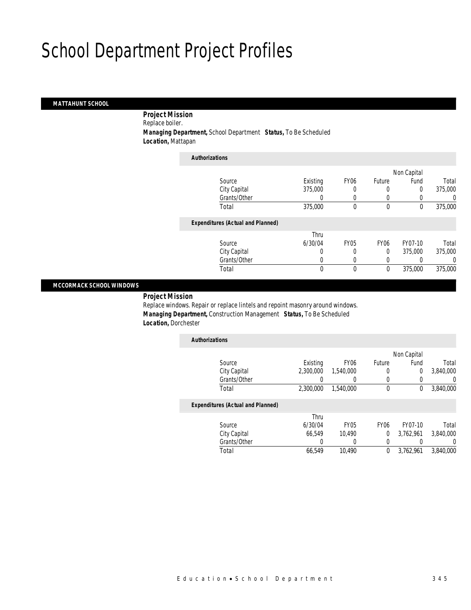### *MATTAHUNT SCHOOL*

 *Project Mission* Replace boiler. *Managing Department,* School Department *Status,* To Be Scheduled *Location,* Mattapan

| <b>Authorizations</b> |                                          |          |             |                  |             |         |
|-----------------------|------------------------------------------|----------|-------------|------------------|-------------|---------|
|                       |                                          |          |             |                  | Non Capital |         |
|                       | Source                                   | Existing | <b>FY06</b> | Future           | Fund        | Total   |
|                       | City Capital                             | 375,000  |             |                  | 0           | 375,000 |
|                       | Grants/Other                             |          |             |                  |             | 0       |
|                       | Total                                    | 375,000  | 0           | $\mathbf 0$      | 0           | 375,000 |
|                       | <b>Expenditures (Actual and Planned)</b> |          |             |                  |             |         |
|                       |                                          | Thru     |             |                  |             |         |
|                       | Source                                   | 6/30/04  | <b>FY05</b> | FY <sub>06</sub> | FY07-10     | Total   |
|                       | City Capital                             | 0        | 0           | $\Omega$         | 375,000     | 375,000 |
|                       | Grants/Other                             | 0        | 0           | 0                |             | 0       |
|                       | Total                                    | 0        | 0           | $\mathbf 0$      | 375,000     | 375,000 |

### *MCCORMACK SCHOOL WINDOWS*

*Project Mission* 

Replace windows. Repair or replace lintels and repoint masonry around windows. *Managing Department,* Construction Management *Status,* To Be Scheduled *Location,* Dorchester

| <b>Authorizations</b>                    |           |                  |             |             |           |
|------------------------------------------|-----------|------------------|-------------|-------------|-----------|
|                                          |           |                  |             | Non Capital |           |
| Source                                   | Existing  | FY <sub>06</sub> | Future      | Fund        | Total     |
| City Capital                             | 2.300.000 | 1,540,000        | 0           | 0           | 3,840,000 |
| Grants/Other                             |           |                  | 0           |             | U         |
| Total                                    | 2.300.000 | 1,540,000        | 0           | 0           | 3,840,000 |
| <b>Expenditures (Actual and Planned)</b> |           |                  |             |             |           |
|                                          | Thru      |                  |             |             |           |
| Source                                   | 6/30/04   | <b>FY05</b>      | <b>FY06</b> | FY07-10     | Total     |
| City Capital                             | 66.549    | 10.490           | $\Omega$    | 3,762,961   | 3,840,000 |
| Grants/Other                             | 0         |                  | 0           |             | 0         |
| Total                                    | 66.549    | 10.490           | 0           | 3,762,961   | 3.840.000 |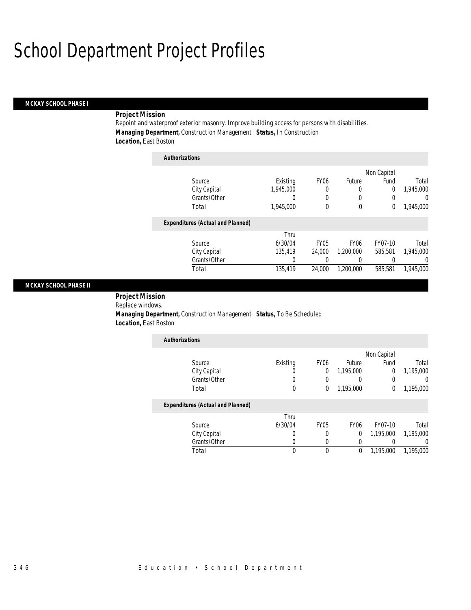### *MCKAY SCHOOL PHASE I*

### *Project Mission*

*Authorizations*

Repoint and waterproof exterior masonry. Improve building access for persons with disabilities. *Managing Department,* Construction Management *Status,* In Construction *Location,* East Boston

| Authorizations |                                          |           |                  |                  |             |           |
|----------------|------------------------------------------|-----------|------------------|------------------|-------------|-----------|
|                |                                          |           |                  |                  | Non Capital |           |
|                | Source                                   | Existing  | FY <sub>06</sub> | Future           | Fund        | Total     |
|                | City Capital                             | 1.945.000 | 0                | 0                | 0           | 1,945,000 |
|                | Grants/Other                             | 0         | 0                | 0                | 0           | $\left($  |
|                | Total                                    | 1,945,000 | 0                | 0                | 0           | 1,945,000 |
|                | <b>Expenditures (Actual and Planned)</b> |           |                  |                  |             |           |
|                |                                          | Thru      |                  |                  |             |           |
|                | Source                                   | 6/30/04   | <b>FY05</b>      | FY <sub>06</sub> | FY07-10     | Total     |
|                | City Capital                             | 135.419   | 24,000           | 1,200,000        | 585,581     | 1.945.000 |
|                | Grants/Other                             | 0         | 0                | 0                | 0           | 0         |
|                | Total                                    | 135,419   | 24,000           | 1.200.000        | 585,581     | 1.945.000 |

### *MCKAY SCHOOL PHASE II*

 *Project Mission* Replace windows.

 $\overline{\phantom{a}}$ 

 *Managing Department,* Construction Management *Status,* To Be Scheduled *Location,* East Boston

| <b>Authorizations</b> |          |                  |           |             |           |
|-----------------------|----------|------------------|-----------|-------------|-----------|
|                       |          |                  |           | Non Capital |           |
| Source                | Existing | FY <sub>06</sub> | Future    | Fund        | Total     |
| City Capital          |          |                  | 1.195.000 |             | 1,195,000 |
| Grants/Other          |          |                  |           |             |           |
| Total                 |          |                  | 1.195.000 |             | 1,195,000 |

|              | Thru    |      |      |           |           |
|--------------|---------|------|------|-----------|-----------|
| Source       | 6/30/04 | FY05 | FY06 | FY07-10   | Total     |
| City Capital |         |      |      | 1.195.000 | 1,195,000 |
| Grants/Other |         |      |      |           |           |
| Total        |         |      |      | 1.195.000 | 1.195.000 |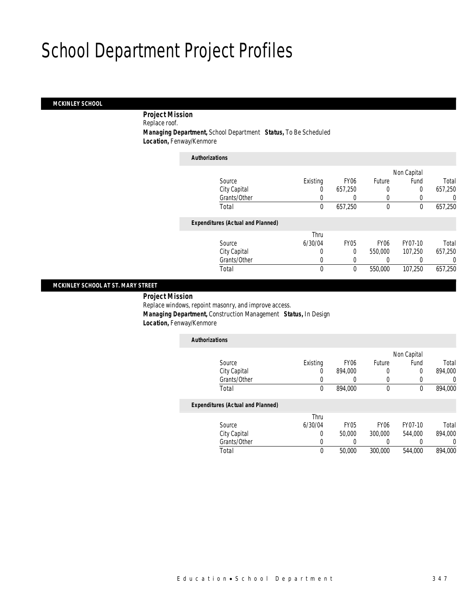### *MCKINLEY SCHOOL*

*Project Mission* 

Replace roof.

*Managing Department,* School Department *Status,* To Be Scheduled

*Location,* Fenway/Kenmore

| <b>Authorizations</b>                    |          |                  |                  |             |          |
|------------------------------------------|----------|------------------|------------------|-------------|----------|
|                                          |          |                  |                  | Non Capital |          |
| Source                                   | Existing | FY <sub>06</sub> | Future           | Fund        | Total    |
| City Capital                             | 0        | 657.250          | 0                | 0           | 657,250  |
| Grants/Other                             |          |                  | 0                | 0           | 0        |
| Total                                    | 0        | 657,250          | $\mathbf 0$      | 0           | 657,250  |
| <b>Expenditures (Actual and Planned)</b> |          |                  |                  |             |          |
|                                          | Thru     |                  |                  |             |          |
| Source                                   | 6/30/04  | <b>FY05</b>      | FY <sub>06</sub> | FY07-10     | Total    |
| City Capital                             | 0        | 0                | 550,000          | 107,250     | 657,250  |
| Grants/Other                             | 0        | 0                | 0                |             | $\Omega$ |
| Total                                    | 0        | 0                | 550,000          | 107,250     | 657,250  |

### *MCKINLEY SCHOOL AT ST. MARY STREET*

 *Project Mission* Replace windows, repoint masonry, and improve access. *Managing Department,* Construction Management *Status,* In Design *Location,* Fenway/Kenmore

| <b>Authorizations</b>                    |          |                  |        |             |         |
|------------------------------------------|----------|------------------|--------|-------------|---------|
|                                          |          |                  |        | Non Capital |         |
| Source                                   | Existing | FY <sub>06</sub> | Future | Fund        | Total   |
| City Capital                             |          | 894,000          | U      | 0           | 894,000 |
| Grants/Other                             |          |                  |        |             |         |
| Total                                    |          | 894,000          |        | 0           | 894.000 |
| <b>Expenditures (Actual and Planned)</b> |          |                  |        |             |         |

|              | Thru    |        |                  |         |         |
|--------------|---------|--------|------------------|---------|---------|
| Source       | 6/30/04 | FY05   | FY <sub>06</sub> | FY07-10 | Total   |
| City Capital |         | 50.000 | 300,000          | 544,000 | 894,000 |
| Grants/Other |         |        |                  |         |         |
| Total        |         | 50.000 | 300,000          | 544,000 | 894,000 |
|              |         |        |                  |         |         |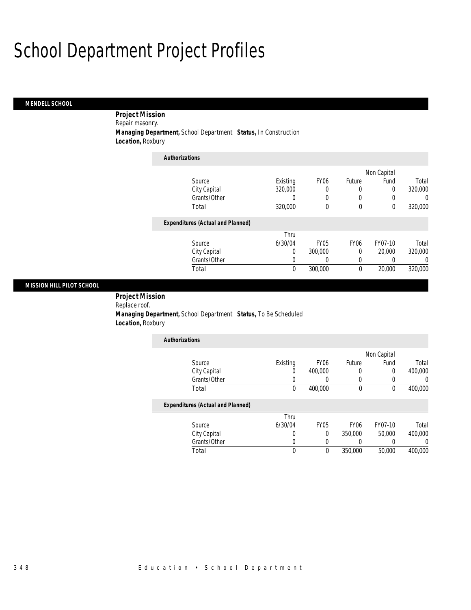### *MENDELL SCHOOL*

*Project Mission* 

Repair masonry.

*Managing Department,* School Department *Status,* In Construction

*Location,* Roxbury

| <b>Authorizations</b>                    |          |                  |                  |             |         |
|------------------------------------------|----------|------------------|------------------|-------------|---------|
|                                          |          |                  |                  | Non Capital |         |
| Source                                   | Existing | <b>FY06</b>      | Future           | Fund        | Total   |
| City Capital                             | 320,000  | $\left($         | 0                | 0           | 320,000 |
| Grants/Other                             | O        | 0                | 0                | 0           | 0       |
| Total                                    | 320,000  | $\theta$         | $\theta$         | $\Omega$    | 320,000 |
| <b>Expenditures (Actual and Planned)</b> |          |                  |                  |             |         |
|                                          | Thru     |                  |                  |             |         |
| Source                                   | 6/30/04  | FY <sub>05</sub> | FY <sub>06</sub> | FY07-10     | Total   |
| City Capital                             | 0        | 300,000          | $\theta$         | 20,000      | 320,000 |
| Grants/Other                             | 0        |                  | 0                |             | 0       |
| Total                                    | $\theta$ | 300,000          | $\theta$         | 20,000      | 320,000 |

### *MISSION HILL PILOT SCHOOL*

 *Project Mission* Replace roof. *Managing Department,* School Department *Status,* To Be Scheduled *Location,* Roxbury

| <b>Authorizations</b> |          |                  |        |             |         |
|-----------------------|----------|------------------|--------|-------------|---------|
|                       |          |                  |        | Non Capital |         |
| Source                | Existing | FY <sub>06</sub> | Future | Fund        | Total   |
| City Capital          |          | 400,000          |        |             | 400,000 |
| Grants/Other          |          |                  |        |             |         |
| Total                 |          | 400,000          |        |             | 400,000 |

|              | Thru    |      |                  |         |         |
|--------------|---------|------|------------------|---------|---------|
| Source       | 6/30/04 | FY05 | FY <sub>06</sub> | FY07-10 | Total   |
| City Capital |         |      | 350,000          | 50,000  | 400,000 |
| Grants/Other |         |      |                  |         |         |
| Total        |         |      | 350,000          | 50,000  | 400,000 |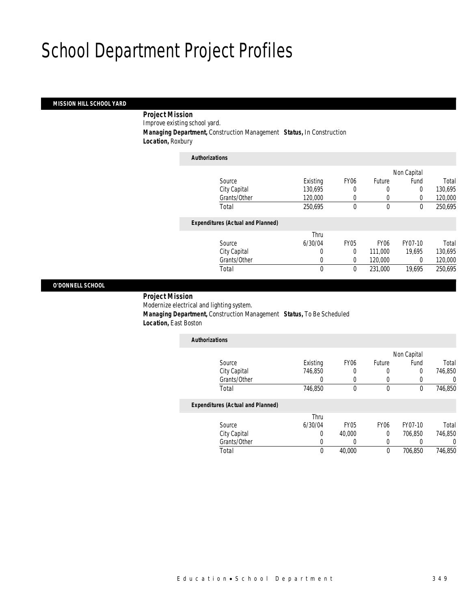### *MISSION HILL SCHOOL YARD*

*Project Mission* 

Improve existing school yard.

*Managing Department,* Construction Management *Status,* In Construction

*Location,* Roxbury

| <b>Authorizations</b>                    |              |             |                  |             |         |
|------------------------------------------|--------------|-------------|------------------|-------------|---------|
|                                          |              |             |                  | Non Capital |         |
| Source                                   | Existing     | <b>FY06</b> | Future           | Fund        | Total   |
| City Capital                             | 130.695      | 0           | 0                | $\Omega$    | 130.695 |
| Grants/Other                             | 120,000      | 0           | 0                | 0           | 120,000 |
| Total                                    | 250.695      | 0           | $\theta$         | $\theta$    | 250.695 |
| <b>Expenditures (Actual and Planned)</b> |              |             |                  |             |         |
|                                          | Thru         |             |                  |             |         |
| Source                                   | 6/30/04      | <b>FY05</b> | FY <sub>06</sub> | FY07-10     | Total   |
| City Capital                             | 0            | $\Omega$    | 111,000          | 19.695      | 130,695 |
| Grants/Other                             | 0            | 0           | 120,000          | 0           | 120,000 |
| Total                                    | $\mathbf{0}$ | $\theta$    | 231,000          | 19,695      | 250,695 |

### *O'DONNELL SCHOOL*

 *Project Mission* Modernize electrical and lighting system. *Managing Department,* Construction Management *Status,* To Be Scheduled *Location,* East Boston

| <b>Authorizations</b>                    |          |                  |                  |             |         |
|------------------------------------------|----------|------------------|------------------|-------------|---------|
|                                          |          |                  |                  | Non Capital |         |
| Source                                   | Existing | FY <sub>06</sub> | Future           | Fund        | Total   |
| City Capital                             | 746.850  | 0                | 0                | 0           | 746,850 |
| Grants/Other                             |          | 0                | 0                |             |         |
| Total                                    | 746,850  | 0                | $\theta$         | $\mathbf 0$ | 746,850 |
| <b>Expenditures (Actual and Planned)</b> |          |                  |                  |             |         |
|                                          | Thru     |                  |                  |             |         |
| Source                                   | 6/30/04  | FY <sub>05</sub> | FY <sub>06</sub> | FY07-10     | Total   |
| City Capital                             | 0        | 40,000           | 0                | 706,850     | 746,850 |
| Grants/Other                             |          | 0                | 0                |             |         |

Total 0 40,000 0 706,850 746,850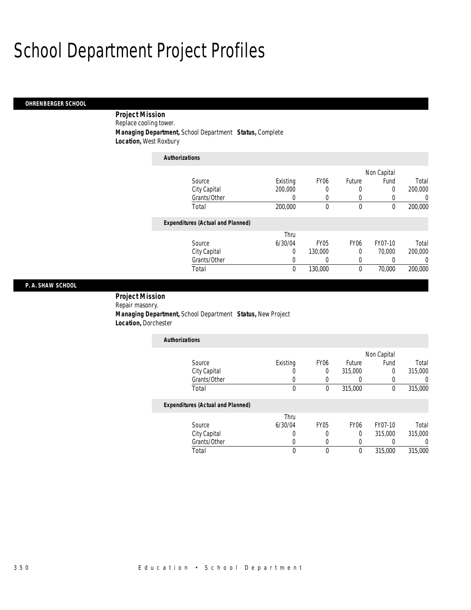### *OHRENBERGER SCHOOL*

 *Project Mission* Replace cooling tower. *Managing Department,* School Department *Status,* Complete *Location,* West Roxbury

| <b>Authorizations</b>                    |          |                  |                  |             |         |
|------------------------------------------|----------|------------------|------------------|-------------|---------|
|                                          |          |                  |                  | Non Capital |         |
| Source                                   | Existing | FY <sub>06</sub> | Future           | Fund        | Total   |
| City Capital                             | 200,000  | 0                | 0                | 0           | 200,000 |
| Grants/Other                             | O        | 0                | 0                | $\cup$      | 0       |
| Total                                    | 200,000  | 0                | $\mathbf 0$      | $\theta$    | 200,000 |
| <b>Expenditures (Actual and Planned)</b> |          |                  |                  |             |         |
|                                          | Thru     |                  |                  |             |         |
| Source                                   | 6/30/04  | <b>FY05</b>      | FY <sub>06</sub> | FY07-10     | Total   |
| City Capital                             | 0        | 130,000          | 0                | 70,000      | 200,000 |
| Grants/Other                             | 0        | 0                | 0                |             | 0       |
| Total                                    | $\theta$ | 130,000          | $\mathbf{0}$     | 70,000      | 200,000 |

### *P. A. SHAW SCHOOL*

 *Project Mission* Repair masonry. *Managing Department,* School Department *Status,* New Project *Location,* Dorchester

| <b>Authorizations</b> |          |                  |         |             |         |
|-----------------------|----------|------------------|---------|-------------|---------|
|                       |          |                  |         | Non Capital |         |
| Source                | Existing | FY <sub>06</sub> | Future  | Fund        | Total   |
| City Capital          |          |                  | 315,000 |             | 315,000 |
| Grants/Other          |          |                  |         |             |         |
| Total                 |          |                  | 315,000 |             | 315,000 |

|              | Thru    |             |      |         |         |
|--------------|---------|-------------|------|---------|---------|
| Source       | 6/30/04 | <b>FY05</b> | FY06 | FY07-10 | Total   |
| City Capital |         |             |      | 315,000 | 315,000 |
| Grants/Other |         |             |      |         |         |
| Total        |         |             |      | 315,000 | 315,000 |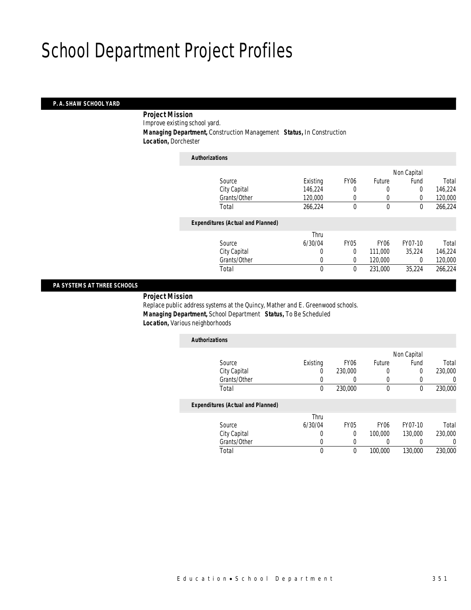### *P. A. SHAW SCHOOL YARD*

*Project Mission* 

Improve existing school yard.

*Managing Department,* Construction Management *Status,* In Construction

*Location,* Dorchester

| <b>Authorizations</b>                    |             |             |                  |             |         |
|------------------------------------------|-------------|-------------|------------------|-------------|---------|
|                                          |             |             |                  | Non Capital |         |
| Source                                   | Existing    | <b>FY06</b> | Future           | Fund        | Total   |
| City Capital                             | 146,224     | 0           | 0                | 0           | 146,224 |
| Grants/Other                             | 120,000     | 0           | 0                | $\Omega$    | 120,000 |
| Total                                    | 266,224     | 0           | $\mathbf 0$      | $\mathbf 0$ | 266,224 |
| <b>Expenditures (Actual and Planned)</b> |             |             |                  |             |         |
|                                          | Thru        |             |                  |             |         |
| Source                                   | 6/30/04     | <b>FY05</b> | FY <sub>06</sub> | FY07-10     | Total   |
| City Capital                             | 0           | $\Omega$    | 111,000          | 35.224      | 146,224 |
| Grants/Other                             | 0           | $\Omega$    | 120,000          | 0           | 120,000 |
| Total                                    | $\mathbf 0$ | $\theta$    | 231,000          | 35.224      | 266,224 |

### *PA SYSTEMS AT THREE SCHOOLS*

*Project Mission* 

Replace public address systems at the Quincy, Mather and E. Greenwood schools. *Managing Department,* School Department *Status,* To Be Scheduled *Location,* Various neighborhoods

| <b>Authorizations</b> |          |                  |        |             |         |
|-----------------------|----------|------------------|--------|-------------|---------|
|                       |          |                  |        | Non Capital |         |
| Source                | Existing | FY <sub>06</sub> | Future | Fund        | Total   |
| City Capital          | 0        | 230,000          |        |             | 230,000 |
| Grants/Other          |          |                  |        |             |         |
| Total                 | 0        | 230,000          |        |             | 230,000 |
|                       |          |                  |        |             |         |

| Thru    |             |                  |         |         |
|---------|-------------|------------------|---------|---------|
| 6/30/04 | <b>FY05</b> | FY <sub>06</sub> | FY07-10 | Total   |
|         |             | 100,000          | 130,000 | 230,000 |
|         |             |                  |         |         |
|         |             | 100,000          | 130,000 | 230,000 |
|         |             |                  |         |         |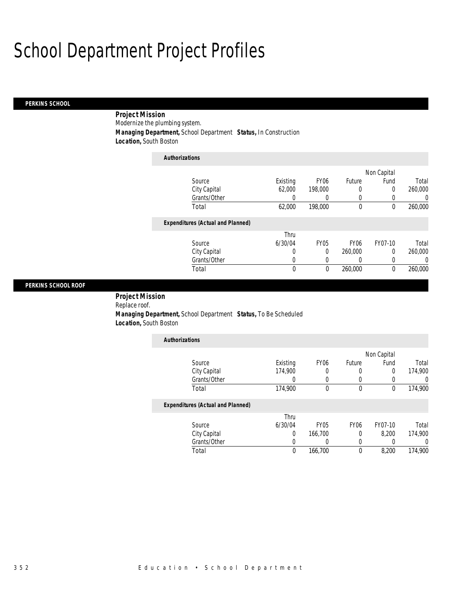### *PERKINS SCHOOL*

 *Project Mission* Modernize the plumbing system. *Managing Department,* School Department *Status,* In Construction *Location,* South Boston

| <b>Authorizations</b>                    |             |                  |                  |                  |          |
|------------------------------------------|-------------|------------------|------------------|------------------|----------|
|                                          |             |                  |                  | Non Capital      |          |
| Source                                   | Existing    | FY <sub>06</sub> | Future           | Fund             | Total    |
| City Capital                             | 62,000      | 198,000          | 0                | $\Omega$         | 260,000  |
| Grants/Other                             | 0           | 0                | 0                |                  | 0        |
| Total                                    | 62,000      | 198,000          | $\theta$         | $\Omega$         | 260,000  |
| <b>Expenditures (Actual and Planned)</b> |             |                  |                  |                  |          |
|                                          | Thru        |                  |                  |                  |          |
| Source                                   | 6/30/04     | <b>FY05</b>      | FY <sub>06</sub> | FY07-10          | Total    |
| City Capital                             | 0           | 0                | 260,000          | 0                | 260,000  |
| Grants/Other                             | 0           | 0                | 0                | $\left( \right)$ | $\Omega$ |
| Total                                    | $\mathbf 0$ | 0                | 260,000          | $\theta$         | 260,000  |

### *PERKINS SCHOOL ROOF*

 *Project Mission* Replace roof. *Managing Department,* School Department *Status,* To Be Scheduled *Location,* South Boston

| Existing | FY <sub>06</sub> | Future | Fund | Total       |
|----------|------------------|--------|------|-------------|
| 174,900  |                  |        |      | 174,900     |
|          |                  |        |      |             |
| 174,900  |                  |        |      | 174,900     |
|          |                  |        |      | Non Capital |

|              | Thru    |             |      |         |         |
|--------------|---------|-------------|------|---------|---------|
| Source       | 6/30/04 | <b>FY05</b> | FY06 | FY07-10 | Total   |
| City Capital |         | 166.700     |      | 8.200   | 174.900 |
| Grants/Other |         |             |      |         |         |
| Total        |         | 166,700     |      | 8.200   | 174,900 |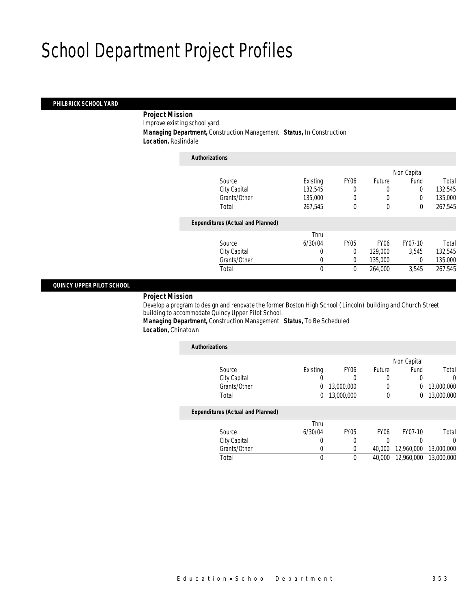### *PHILBRICK SCHOOL YARD*

*Project Mission* 

Improve existing school yard.

*Managing Department,* Construction Management *Status,* In Construction

*Location,* Roslindale

| <b>Authorizations</b>                    |              |             |                  |             |         |
|------------------------------------------|--------------|-------------|------------------|-------------|---------|
|                                          |              |             |                  | Non Capital |         |
| Source                                   | Existing     | <b>FY06</b> | Future           | Fund        | Total   |
| City Capital                             | 132,545      | 0           | 0                | $\Omega$    | 132,545 |
| Grants/Other                             | 135,000      | 0           | 0                | 0           | 135,000 |
| Total                                    | 267.545      | 0           | $\theta$         | $\theta$    | 267.545 |
| <b>Expenditures (Actual and Planned)</b> |              |             |                  |             |         |
|                                          | Thru         |             |                  |             |         |
| Source                                   | 6/30/04      | <b>FY05</b> | FY <sub>06</sub> | FY07-10     | Total   |
| City Capital                             | 0            | 0           | 129,000          | 3.545       | 132,545 |
| Grants/Other                             | 0            | 0           | 135,000          | 0           | 135,000 |
| Total                                    | $\mathbf{0}$ | 0           | 264,000          | 3.545       | 267,545 |
|                                          |              |             |                  |             |         |

### *QUINCY UPPER PILOT SCHOOL*

### *Project Mission*

Develop a program to design and renovate the former Boston High School (Lincoln) building and Church Street building to accommodate Quincy Upper Pilot School.

*Managing Department,* Construction Management *Status,* To Be Scheduled *Location,* Chinatown

| <b>Authorizations</b>                    |          |                  |                  |             |            |
|------------------------------------------|----------|------------------|------------------|-------------|------------|
|                                          |          |                  |                  | Non Capital |            |
| Source                                   | Existing | FY <sub>06</sub> | Future           | Fund        | Total      |
| City Capital                             |          | O                | 0                | 0           | 0          |
| Grants/Other                             | 0        | 13,000,000       |                  | 0           | 13,000,000 |
| Total                                    | 0        | 13,000,000       | 0                | $^{0}$      | 13,000,000 |
| <b>Expenditures (Actual and Planned)</b> |          |                  |                  |             |            |
|                                          | Thru     |                  |                  |             |            |
| Source                                   | 6/30/04  | <b>FY05</b>      | FY <sub>06</sub> | FY07-10     | Total      |
| City Capital                             | 0        | 0                |                  |             | 0          |
| Grants/Other                             | 0        | 0                | 40,000           | 12,960,000  | 13,000,000 |
| Total                                    | 0        | 0                | 40,000           | 12,960,000  | 13,000,000 |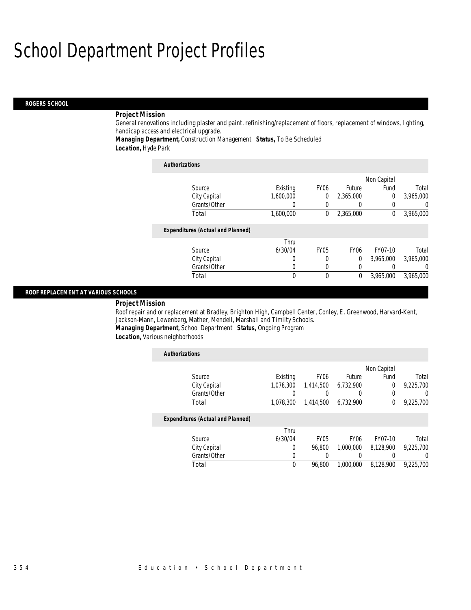### *ROGERS SCHOOL*

### *Project Mission*

General renovations including plaster and paint, refinishing/replacement of floors, replacement of windows, lighting, handicap access and electrical upgrade.

*Managing Department,* Construction Management *Status,* To Be Scheduled *Location,* Hyde Park

| <b>Authorizations</b>                    |           |                  |                  |             |           |
|------------------------------------------|-----------|------------------|------------------|-------------|-----------|
|                                          |           |                  |                  | Non Capital |           |
| Source                                   | Existing  | FY <sub>06</sub> | Future           | Fund        | Total     |
| City Capital                             | 1.600.000 | $\theta$         | 2,365,000        | 0           | 3,965,000 |
| Grants/Other                             | O         |                  |                  | 0           | 0         |
| Total                                    | 1.600.000 | $\theta$         | 2,365,000        | 0           | 3,965,000 |
| <b>Expenditures (Actual and Planned)</b> |           |                  |                  |             |           |
|                                          | Thru      |                  |                  |             |           |
| Source                                   | 6/30/04   | <b>FY05</b>      | FY <sub>06</sub> | FY07-10     | Total     |
| City Capital                             | 0         | 0                | $\theta$         | 3,965,000   | 3,965,000 |
| Grants/Other                             | 0         | 0                | 0                |             | $\left($  |
| Total                                    | 0         | $\theta$         | $\theta$         | 3,965,000   | 3.965.000 |

### *ROOF REPLACEMENT AT VARIOUS SCHOOLS*

*Project Mission* 

Roof repair and or replacement at Bradley, Brighton High, Campbell Center, Conley, E. Greenwood, Harvard-Kent, Jackson-Mann, Lewenberg, Mather, Mendell, Marshall and Timilty Schools.

*Managing Department,* School Department *Status,* Ongoing Program

*Location,* Various neighborhoods

| <b>Authorizations</b>                    |           |                  |                  |             |                |
|------------------------------------------|-----------|------------------|------------------|-------------|----------------|
|                                          |           |                  |                  | Non Capital |                |
| Source                                   | Existing  | FY <sub>06</sub> | Future           | Fund        | Total          |
| City Capital                             | 1,078,300 | 1,414,500        | 6,732,900        | 0           | 9,225,700      |
| Grants/Other                             |           |                  | $\left( \right)$ |             | $\overline{0}$ |
| Total                                    | 1.078.300 | 1.414.500        | 6,732,900        | $\bf{0}$    | 9,225,700      |
| <b>Expenditures (Actual and Planned)</b> |           |                  |                  |             |                |
|                                          | Thru      |                  |                  |             |                |
| Source                                   | 6/30/04   | FY <sub>05</sub> | FY <sub>06</sub> | FY07-10     | Total          |
| City Capital                             | 0         | 96.800           | 1,000,000        | 8.128.900   | 9,225,700      |
| Grants/Other                             | 0         |                  |                  |             | $\Omega$       |
| Total                                    | 0         | 96.800           | 1,000,000        | 8,128,900   | 9,225,700      |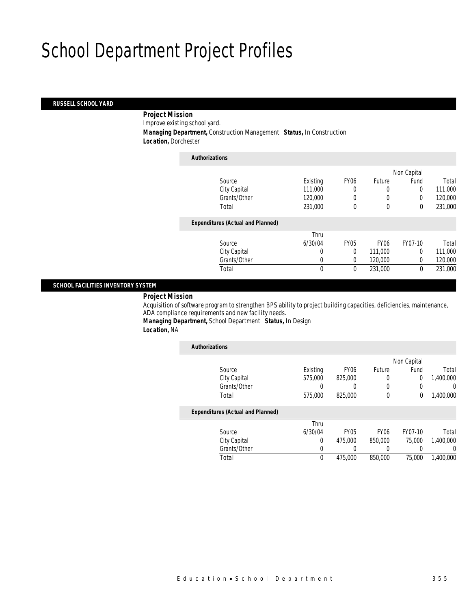### *RUSSELL SCHOOL YARD*

*Project Mission* 

Improve existing school yard.

*Managing Department,* Construction Management *Status,* In Construction

*Location,* Dorchester

| <b>Authorizations</b>                    |              |             |                  |             |         |
|------------------------------------------|--------------|-------------|------------------|-------------|---------|
|                                          |              |             |                  | Non Capital |         |
| Source                                   | Existing     | <b>FY06</b> | Future           | Fund        | Total   |
| City Capital                             | 111,000      | 0           | 0                | 0           | 111,000 |
| Grants/Other                             | 120,000      | 0           | 0                | 0           | 120,000 |
| Total                                    | 231,000      | 0           | $\mathbf 0$      | $\mathbf 0$ | 231,000 |
| <b>Expenditures (Actual and Planned)</b> |              |             |                  |             |         |
|                                          | Thru         |             |                  |             |         |
| Source                                   | 6/30/04      | <b>FY05</b> | FY <sub>06</sub> | FY07-10     | Total   |
| City Capital                             | 0            | $\Omega$    | 111,000          | $\Omega$    | 111,000 |
| Grants/Other                             | 0            | $\Omega$    | 120,000          | $\Omega$    | 120,000 |
| Total                                    | $\mathbf{0}$ | 0           | 231,000          | 0           | 231,000 |
|                                          |              |             |                  |             |         |

### *SCHOOL FACILITIES INVENTORY SYSTEM*

*Project Mission* 

Acquisition of software program to strengthen BPS ability to project building capacities, deficiencies, maintenance, ADA compliance requirements and new facility needs.

*Managing Department,* School Department *Status,* In Design

*Location,* NA

| <b>Authorizations</b>                    |             |                  |                  |             |           |
|------------------------------------------|-------------|------------------|------------------|-------------|-----------|
|                                          |             |                  |                  | Non Capital |           |
| Source                                   | Existing    | FY <sub>06</sub> | Future           | Fund        | Total     |
| City Capital                             | 575,000     | 825,000          | 0                | 0           | 1,400,000 |
| Grants/Other                             |             |                  | 0                |             | 0         |
| Total                                    | 575,000     | 825,000          | 0                | 0           | 1,400,000 |
| <b>Expenditures (Actual and Planned)</b> |             |                  |                  |             |           |
|                                          | Thru        |                  |                  |             |           |
| Source                                   | 6/30/04     | <b>FY05</b>      | FY <sub>06</sub> | FY07-10     | Total     |
| City Capital                             | 0           | 475,000          | 850,000          | 75,000      | 1,400,000 |
| Grants/Other                             | 0           |                  |                  |             | 0         |
| Total                                    | $\mathbf 0$ | 475,000          | 850,000          | 75,000      | 1.400.000 |
|                                          |             |                  |                  |             |           |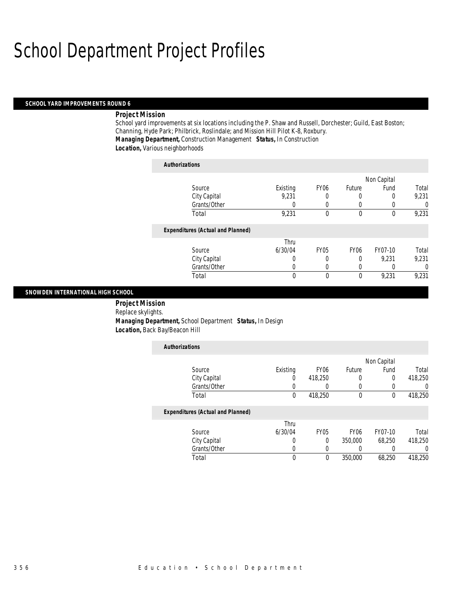### *SCHOOL YARD IMPROVEMENTS ROUND 6*

### *Project Mission*

School yard improvements at six locations including the P. Shaw and Russell, Dorchester; Guild, East Boston; Channing, Hyde Park; Philbrick, Roslindale; and Mission Hill Pilot K-8, Roxbury. *Managing Department,* Construction Management *Status,* In Construction *Location,* Various neighborhoods

| <b>Authorizations</b>                    |          |                  |              |             |          |
|------------------------------------------|----------|------------------|--------------|-------------|----------|
|                                          |          |                  |              | Non Capital |          |
| Source                                   | Existing | FY <sub>06</sub> | Future       | Fund        | Total    |
| City Capital                             | 9,231    | 0                |              |             | 9,231    |
| Grants/Other                             | 0        | $\Omega$         | 0            |             | $\Omega$ |
| Total                                    | 9,231    | 0                | $\theta$     | $\theta$    | 9,231    |
| <b>Expenditures (Actual and Planned)</b> |          |                  |              |             |          |
|                                          | Thru     |                  |              |             |          |
| Source                                   | 6/30/04  | <b>FY05</b>      | <b>FY06</b>  | FY07-10     | Total    |
| City Capital                             | 0        | 0                | 0            | 9.231       | 9,231    |
| Grants/Other                             | U        | 0                | 0            |             | $\Omega$ |
| Total                                    | 0        | $\theta$         | $\mathbf{0}$ | 9,231       | 9,231    |

### *SNOWDEN INTERNATIONAL HIGH SCHOOL*

 *Project Mission* Replace skylights. *Managing Department,* School Department *Status,* In Design *Location,* Back Bay/Beacon Hill

| <b>Authorizations</b>                    |                  |             |                  |             |         |
|------------------------------------------|------------------|-------------|------------------|-------------|---------|
|                                          |                  |             |                  | Non Capital |         |
| Source                                   | Existing         | <b>FY06</b> | Future           | Fund        | Total   |
| City Capital                             | $\left( \right)$ | 418,250     | 0                | 0           | 418,250 |
| Grants/Other                             |                  | $\left($    | 0                | 0           | 0       |
| Total                                    | $\theta$         | 418,250     | $\mathbf 0$      | $\mathbf 0$ | 418,250 |
| <b>Expenditures (Actual and Planned)</b> |                  |             |                  |             |         |
|                                          | Thru             |             |                  |             |         |
| Source                                   | 6/30/04          | <b>FY05</b> | FY <sub>06</sub> | FY07-10     | Total   |
| City Capital                             |                  | $\Omega$    | 350,000          | 68.250      | 418.250 |
| Grants/Other                             |                  | 0           | 0                | 0           |         |
| Total                                    | 0                | 0           | 350,000          | 68.250      | 418,250 |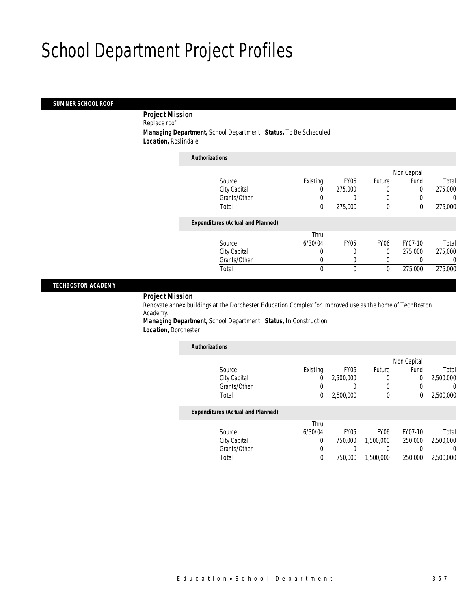### *SUMNER SCHOOL ROOF*

 *Project Mission* Replace roof. *Managing Department,* School Department *Status,* To Be Scheduled *Location,* Roslindale

| <b>Authorizations</b>                    |          |             |                  |             |         |
|------------------------------------------|----------|-------------|------------------|-------------|---------|
|                                          |          |             |                  | Non Capital |         |
| Source                                   | Existing | <b>FY06</b> | Future           | Fund        | Total   |
| City Capital                             | 0        | 275,000     | 0                | 0           | 275,000 |
| Grants/Other                             |          |             | 0                |             | 0       |
| Total                                    | 0        | 275,000     | $\mathbf 0$      | $\mathbf 0$ | 275,000 |
| <b>Expenditures (Actual and Planned)</b> |          |             |                  |             |         |
|                                          | Thru     |             |                  |             |         |
| Source                                   | 6/30/04  | <b>FY05</b> | FY <sub>06</sub> | FY07-10     | Total   |
| City Capital                             | $\Omega$ |             | $\Omega$         | 275,000     | 275,000 |
| Grants/Other                             | 0        | 0           | 0                |             | 0       |
| Total                                    | 0        | 0           | 0                | 275,000     | 275,000 |

### *TECHBOSTON ACADEMY*

### *Project Mission*

Renovate annex buildings at the Dorchester Education Complex for improved use as the home of TechBoston Academy.

*Managing Department,* School Department *Status,* In Construction *Location,* Dorchester

| <b>Authorizations</b>                    |          |                  |                  |             |           |
|------------------------------------------|----------|------------------|------------------|-------------|-----------|
|                                          |          |                  |                  | Non Capital |           |
| Source                                   | Existing | <b>FY06</b>      | Future           | Fund        | Total     |
| City Capital                             | 0        | 2,500,000        | 0                | 0           | 2,500,000 |
| Grants/Other                             | 0        | $\left( \right)$ | 0                | 0           | 0         |
| Total                                    | 0        | 2,500,000        | 0                | 0           | 2,500,000 |
| <b>Expenditures (Actual and Planned)</b> |          |                  |                  |             |           |
|                                          | Thru     |                  |                  |             |           |
| Source                                   | 6/30/04  | <b>FY05</b>      | FY <sub>06</sub> | FY07-10     | Total     |
| City Capital                             | $\Omega$ | 750,000          | 1,500,000        | 250,000     | 2.500.000 |
| Grants/Other                             | 0        | 0                | 0                |             | 0         |
| Total                                    | 0        | 750,000          | 1,500,000        | 250,000     | 2,500,000 |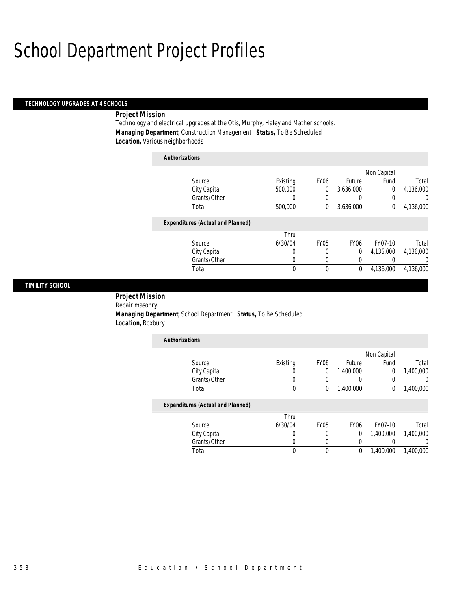### *TECHNOLOGY UPGRADES AT 4 SCHOOLS*

### *Project Mission*

Technology and electrical upgrades at the Otis, Murphy, Haley and Mather schools. *Managing Department,* Construction Management *Status,* To Be Scheduled *Location,* Various neighborhoods

| <b>Authorizations</b>                    |          |                |                  |             |           |
|------------------------------------------|----------|----------------|------------------|-------------|-----------|
|                                          |          |                |                  | Non Capital |           |
| Source                                   | Existing | <b>FY06</b>    | Future           | Fund        | Total     |
| City Capital                             | 500,000  | $\overline{0}$ | 3,636,000        | 0           | 4,136,000 |
| Grants/Other                             | 0        | 0              | 0                | 0           | $\left($  |
| Total                                    | 500,000  | 0              | 3,636,000        | 0           | 4,136,000 |
| <b>Expenditures (Actual and Planned)</b> |          |                |                  |             |           |
|                                          | Thru     |                |                  |             |           |
| Source                                   | 6/30/04  | <b>FY05</b>    | FY <sub>06</sub> | FY07-10     | Total     |
| City Capital                             | 0        | 0              | 0                | 4.136.000   | 4.136.000 |
| Grants/Other                             | 0        | 0              | 0                | 0           | $\Omega$  |
| Total                                    | 0        | 0              | 0                | 4,136,000   | 4.136.000 |

### *TIMILITY SCHOOL*

 *Project Mission* Repair masonry. *Managing Department,* School Department *Status,* To Be Scheduled *Location,* Roxbury

| <b>Authorizations</b> |          |                  |           |             |           |
|-----------------------|----------|------------------|-----------|-------------|-----------|
|                       |          |                  |           | Non Capital |           |
| Source                | Existing | FY <sub>06</sub> | Future    | Fund        | Total     |
| City Capital          |          |                  | 1,400,000 |             | 1,400,000 |
| Grants/Other          |          |                  |           |             |           |
| Total                 |          |                  | 1,400,000 |             | 1,400,000 |

|              | Thru    |      |      |           |           |
|--------------|---------|------|------|-----------|-----------|
| Source       | 6/30/04 | FY05 | FY06 | FY07-10   | Total     |
| City Capital |         |      |      | 1,400,000 | 1,400,000 |
| Grants/Other |         |      |      |           |           |
| Total        |         |      |      | 1.400.000 | 1,400,000 |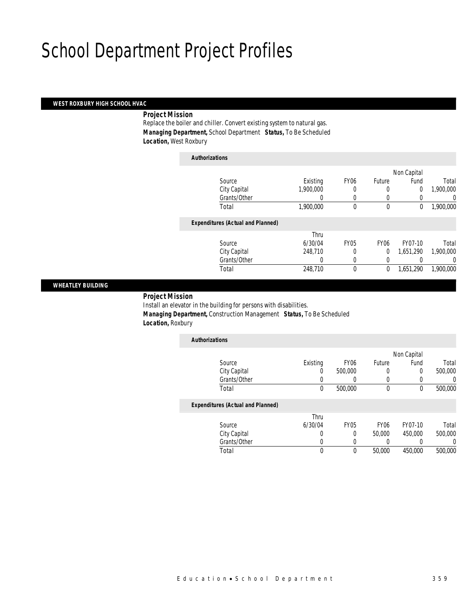### *WEST ROXBURY HIGH SCHOOL HVAC*

### *Project Mission*

Replace the boiler and chiller. Convert existing system to natural gas. *Managing Department,* School Department *Status,* To Be Scheduled *Location,* West Roxbury

| <b>Authorizations</b>                    |           |                  |             |             |           |
|------------------------------------------|-----------|------------------|-------------|-------------|-----------|
|                                          |           |                  |             | Non Capital |           |
| Source                                   | Existing  | FY <sub>06</sub> | Future      | Fund        | Total     |
| City Capital                             | 1,900,000 | 0                | 0           | 0           | 1,900,000 |
| Grants/Other                             |           | 0                | 0           |             | $\Omega$  |
| Total                                    | 1,900,000 | 0                | $\mathbf 0$ | 0           | 1,900,000 |
| <b>Expenditures (Actual and Planned)</b> |           |                  |             |             |           |
|                                          | Thru      |                  |             |             |           |
| Source                                   | 6/30/04   | <b>FY05</b>      | <b>FY06</b> | FY07-10     | Total     |
| City Capital                             | 248,710   | 0                | $\theta$    | 1,651,290   | 1,900,000 |
| Grants/Other                             | 0         | 0                | 0           |             | $\Omega$  |
| Total                                    | 248,710   | 0                | 0           | 1,651,290   | 1.900.000 |
|                                          |           |                  |             |             |           |

### *WHEATLEY BUILDING*

### *Project Mission*

Install an elevator in the building for persons with disabilities. *Managing Department,* Construction Management *Status,* To Be Scheduled *Location,* Roxbury

| <b>Authorizations</b>                    |          |                  |        |             |         |
|------------------------------------------|----------|------------------|--------|-------------|---------|
|                                          |          |                  |        | Non Capital |         |
| Source                                   | Existing | FY <sub>06</sub> | Future | Fund        | Total   |
| City Capital                             | 0        | 500,000          | 0      | 0           | 500,000 |
| Grants/Other                             |          |                  |        |             | 0       |
| Total                                    | 0        | 500,000          | 0      | 0           | 500,000 |
| <b>Expenditures (Actual and Planned)</b> |          |                  |        |             |         |

|              | Thru    |      |        |         |         |
|--------------|---------|------|--------|---------|---------|
| Source       | 6/30/04 | FY05 | FY06   | FY07-10 | Total   |
| City Capital |         |      | 50,000 | 450,000 | 500,000 |
| Grants/Other |         |      |        |         |         |
| Total        |         |      | 50,000 | 450.000 | 500,000 |
|              |         |      |        |         |         |